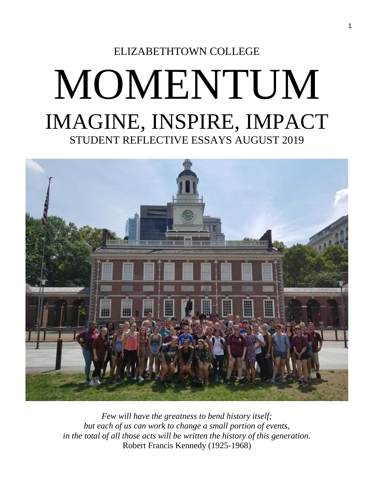## ELIZABETHTOWN COLLEGE MOMENTUM IMAGINE, INSPIRE, IMPACT STUDENT REFLECTIVE ESSAYS AUGUST 2019



*Few will have the greatness to bend history itself; but each of us can work to change a small portion of events, in the total of all those acts will be written the history of this generation.* Robert Francis Kennedy (1925-1968)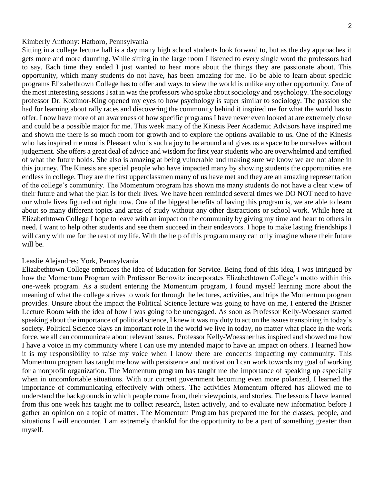#### Kimberly Anthony: Hatboro, Pennsylvania

Sitting in a college lecture hall is a day many high school students look forward to, but as the day approaches it gets more and more daunting. While sitting in the large room I listened to every single word the professors had to say. Each time they ended I just wanted to hear more about the things they are passionate about. This opportunity, which many students do not have, has been amazing for me. To be able to learn about specific programs Elizabethtown College has to offer and ways to view the world is unlike any other opportunity. One of the most interesting sessions I sat in was the professors who spoke about sociology and psychology. The sociology professor Dr. Kozimor-King opened my eyes to how psychology is super similar to sociology. The passion she had for learning about rally races and discovering the community behind it inspired me for what the world has to offer. I now have more of an awareness of how specific programs I have never even looked at are extremely close and could be a possible major for me. This week many of the Kinesis Peer Academic Advisors have inspired me and shown me there is so much room for growth and to explore the options available to us. One of the Kinesis who has inspired me most is Pleasant who is such a joy to be around and gives us a space to be ourselves without judgement. She offers a great deal of advice and wisdom for first year students who are overwhelmed and terrified of what the future holds. She also is amazing at being vulnerable and making sure we know we are not alone in this journey. The Kinesis are special people who have impacted many by showing students the opportunities are endless in college. They are the first upperclassmen many of us have met and they are an amazing representation of the college's community. The Momentum program has shown me many students do not have a clear view of their future and what the plan is for their lives. We have been reminded several times we DO NOT need to have our whole lives figured out right now. One of the biggest benefits of having this program is, we are able to learn about so many different topics and areas of study without any other distractions or school work. While here at Elizabethtown College I hope to leave with an impact on the community by giving my time and heart to others in need. I want to help other students and see them succeed in their endeavors. I hope to make lasting friendships I will carry with me for the rest of my life. With the help of this program many can only imagine where their future will be.

#### Leaslie Alejandres: York, Pennsylvania

Elizabethtown College embraces the idea of Education for Service. Being fond of this idea, I was intrigued by how the Momentum Program with Professor Benowitz incorporates Elizabethtown College's motto within this one-week program. As a student entering the Momentum program, I found myself learning more about the meaning of what the college strives to work for through the lectures, activities, and trips the Momentum program provides. Unsure about the impact the Political Science lecture was going to have on me, I entered the Brisner Lecture Room with the idea of how I was going to be unengaged. As soon as Professor Kelly-Woessner started speaking about the importance of political science, I knew it was my duty to act on the issues transpiring in today's society. Political Science plays an important role in the world we live in today, no matter what place in the work force, we all can communicate about relevant issues. Professor Kelly-Woessner has inspired and showed me how I have a voice in my community where I can use my intended major to have an impact on others. I learned how it is my responsibility to raise my voice when I know there are concerns impacting my community. This Momentum program has taught me how with persistence and motivation I can work towards my goal of working for a nonprofit organization. The Momentum program has taught me the importance of speaking up especially when in uncomfortable situations. With our current government becoming even more polarized, I learned the importance of communicating effectively with others. The activities Momentum offered has allowed me to understand the backgrounds in which people come from, their viewpoints, and stories. The lessons I have learned from this one week has taught me to collect research, listen actively, and to evaluate new information before I gather an opinion on a topic of matter. The Momentum Program has prepared me for the classes, people, and situations I will encounter. I am extremely thankful for the opportunity to be a part of something greater than myself.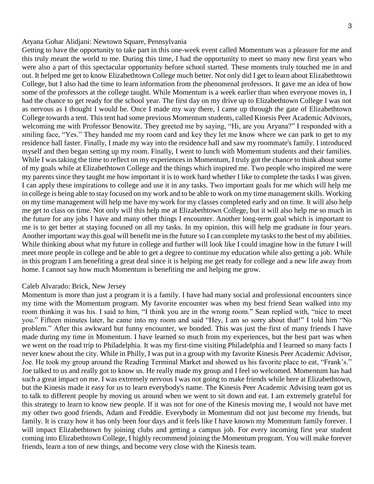Getting to have the opportunity to take part in this one-week event called Momentum was a pleasure for me and this truly meant the world to me. During this time, I had the opportunity to meet so many new first years who were also a part of this spectacular opportunity before school started. These moments truly touched me in and out. It helped me get to know Elizabethtown College much better. Not only did I get to learn about Elizabethtown College, but I also had the time to learn information from the phenomenal professors. It gave me an idea of how some of the professors at the college taught. While Momentum is a week earlier than when everyone moves in, I had the chance to get ready for the school year. The first day on my drive up to Elizabethtown College I was not as nervous as I thought I would be. Once I made my way there, I came up through the gate of Elizabethtown College towards a tent. This tent had some previous Momentum students, called Kinesis Peer Academic Advisors, welcoming me with Professor Benowitz. They greeted me by saying, "Hi, are you Aryana?" I responded with a smiling face, "Yes." They handed me my room card and key they let me know where we can park to get to my residence hall faster. Finally, I made my way into the residence hall and saw my roommate's family. I introduced myself and then began setting up my room. Finally, I went to lunch with Momentum students and their families. While I was taking the time to reflect on my experiences in Momentum, I truly got the chance to think about some of my goals while at Elizabethtown College and the things which inspired me. Two people who inspired me were my parents since they taught me how important it is to work hard whether I like to complete the tasks I was given. I can apply these inspirations to college and use it in any tasks. Two important goals for me which will help me in college is being able to stay focused on my work and to be able to work on my time management skills. Working on my time management will help me have my work for my classes completed early and on time. It will also help me get to class on time. Not only will this help me at Elizabethtown College, but it will also help me so much in the future for any jobs I have and many other things I encounter. Another long-term goal which is important to me is to get better at staying focused on all my tasks. In my opinion, this will help me graduate in four years. Another important way this goal will benefit me in the future so I can complete my tasks to the best of my abilities. While thinking about what my future in college and further will look like I could imagine how in the future I will meet more people in college and be able to get a degree to continue my education while also getting a job. While in this program I am benefiting a great deal since it is helping me get ready for college and a new life away from home. I cannot say how much Momentum is benefiting me and helping me grow.

#### Caleb Alvarado: Brick, New Jersey

Momentum is more than just a program it is a family. I have had many social and professional encounters since my time with the Momentum program. My favorite encounter was when my best friend Sean walked into my room thinking it was his. I said to him, "I think you are in the wrong room." Sean replied with, "nice to meet you." Fifteen minutes later, he came into my room and said "Hey, I am so sorry about that!" I told him "No problem." After this awkward but funny encounter, we bonded. This was just the first of many friends I have made during my time in Momentum. I have learned so much from my experiences, but the best part was when we went on the road trip to Philadelphia. It was my first-time visiting Philadelphia and I learned so many facts I never knew about the city. While in Philly, I was put in a group with my favorite Kinesis Peer Academic Advisor, Joe. He took my group around the Reading Terminal Market and showed us his favorite place to eat, "Frank's." Joe talked to us and really got to know us. He really made my group and I feel so welcomed. Momentum has had such a great impact on me. I was extremely nervous I was not going to make friends while here at Elizabethtown, but the Kinesis made it easy for us to learn everybody's name. The Kinesis Peer Academic Advising team got us to talk to different people by moving us around when we went to sit down and eat. I am extremely grateful for this strategy to learn to know new people. If it was not for one of the Kinesis moving me, I would not have met my other two good friends, Adam and Freddie. Everybody in Momentum did not just become my friends, but family. It is crazy how it has only been four days and it feels like I have known my Momentum family forever. I will impact Elizabethtown by joining clubs and getting a campus job. For every incoming first year student coming into Elizabethtown College, I highly recommend joining the Momentum program. You will make forever friends, learn a ton of new things, and become very close with the Kinesis team.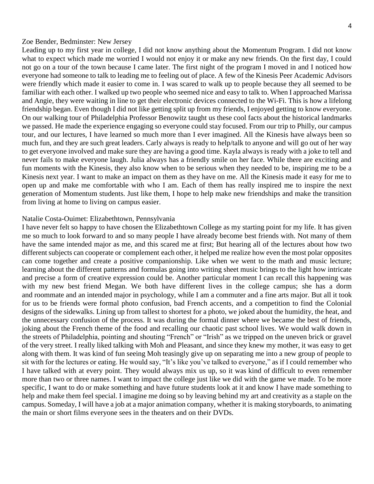#### Zoe Bender, Bedminster: New Jersey

Leading up to my first year in college, I did not know anything about the Momentum Program. I did not know what to expect which made me worried I would not enjoy it or make any new friends. On the first day, I could not go on a tour of the town because I came later. The first night of the program I moved in and I noticed how everyone had someone to talk to leading me to feeling out of place. A few of the Kinesis Peer Academic Advisors were friendly which made it easier to come in. I was scared to walk up to people because they all seemed to be familiar with each other. I walked up two people who seemed nice and easy to talk to. When I approached Marissa and Angie, they were waiting in line to get their electronic devices connected to the Wi-Fi. This is how a lifelong friendship began. Even though I did not like getting split up from my friends, I enjoyed getting to know everyone. On our walking tour of Philadelphia Professor Benowitz taught us these cool facts about the historical landmarks we passed. He made the experience engaging so everyone could stay focused. From our trip to Philly, our campus tour, and our lectures, I have learned so much more than I ever imagined. All the Kinesis have always been so much fun, and they are such great leaders. Carly always is ready to help/talk to anyone and will go out of her way to get everyone involved and make sure they are having a good time. Kayla always is ready with a joke to tell and never fails to make everyone laugh. Julia always has a friendly smile on her face. While there are exciting and fun moments with the Kinesis, they also know when to be serious when they needed to be, inspiring me to be a Kinesis next year. I want to make an impact on them as they have on me. All the Kinesis made it easy for me to open up and make me comfortable with who I am. Each of them has really inspired me to inspire the next generation of Momentum students. Just like them, I hope to help make new friendships and make the transition from living at home to living on campus easier.

#### Natalie Costa-Ouimet: Elizabethtown, Pennsylvania

I have never felt so happy to have chosen the Elizabethtown College as my starting point for my life. It has given me so much to look forward to and so many people I have already become best friends with. Not many of them have the same intended major as me, and this scared me at first; But hearing all of the lectures about how two different subjects can cooperate or complement each other, it helped me realize how even the most polar opposites can come together and create a positive companionship. Like when we went to the math and music lecture; learning about the different patterns and formulas going into writing sheet music brings to the light how intricate and precise a form of creative expression could be. Another particular moment I can recall this happening was with my new best friend Megan. We both have different lives in the college campus; she has a dorm and roommate and an intended major in psychology, while I am a commuter and a fine arts major. But all it took for us to be friends were formal photo confusion, bad French accents, and a competition to find the Colonial designs of the sidewalks. Lining up from tallest to shortest for a photo, we joked about the humidity, the heat, and the unnecessary confusion of the process. It was during the formal dinner where we became the best of friends, joking about the French theme of the food and recalling our chaotic past school lives. We would walk down in the streets of Philadelphia, pointing and shouting "French" or "Irish" as we tripped on the uneven brick or gravel of the very street. I really liked talking with Moh and Pleasant, and since they knew my mother, it was easy to get along with them. It was kind of fun seeing Moh teasingly give up on separating me into a new group of people to sit with for the lectures or eating. He would say, "It's like you've talked to everyone," as if I could remember who I have talked with at every point. They would always mix us up, so it was kind of difficult to even remember more than two or three names. I want to impact the college just like we did with the game we made. To be more specific, I want to do or make something and have future students look at it and know I have made something to help and make them feel special. I imagine me doing so by leaving behind my art and creativity as a staple on the campus. Someday, I will have a job at a major animation company, whether it is making storyboards, to animating the main or short films everyone sees in the theaters and on their DVDs.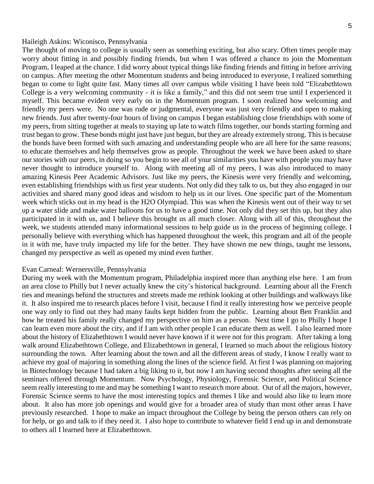#### Haileigh Askins: Wiconisco, Pennsylvania

The thought of moving to college is usually seen as something exciting, but also scary. Often times people may worry about fitting in and possibly finding friends, but when I was offered a chance to join the Momentum Program, I leaped at the chance. I did worry about typical things like finding friends and fitting in before arriving on campus. After meeting the other Momentum students and being introduced to everyone, I realized something began to come to light quite fast. Many times all over campus while visiting I have been told "Elizabethtown College is a very welcoming community - it is like a family," and this did not seem true until I experienced it myself. This became evident very early on in the Momentum program. I soon realized how welcoming and friendly my peers were. No one was rude or judgmental, everyone was just very friendly and open to making new friends. Just after twenty-four hours of living on campus I began establishing close friendships with some of my peers, from sitting together at meals to staying up late to watch films together, our bonds starting forming and trust began to grow. These bonds might just have just begun, but they are already extremely strong. This is because the bonds have been formed with such amazing and understanding people who are all here for the same reasons; to educate themselves and help themselves grow as people. Throughout the week we have been asked to share our stories with our peers, in doing so you begin to see all of your similarities you have with people you may have never thought to introduce yourself to. Along with meeting all of my peers, I was also introduced to many amazing Kinesis Peer Academic Advisors. Just like my peers, the Kinesis were very friendly and welcoming, even establishing friendships with us first year students. Not only did they talk to us, but they also engaged in our activities and shared many good ideas and wisdom to help us in our lives. One specific part of the Momentum week which sticks out in my head is the H2O Olympiad. This was when the Kinesis went out of their way to set up a water slide and make water balloons for us to have a good time. Not only did they set this up, but they also participated in it with us, and I believe this brought us all much closer. Along with all of this, throughout the week, we students attended many informational sessions to help guide us in the process of beginning college. I personally believe with everything which has happened throughout the week, this program and all of the people in it with me, have truly impacted my life for the better. They have shown me new things, taught me lessons, changed my perspective as well as opened my mind even further.

#### Evan Carneal: Wernersville, Pennsylvania

During my week with the Momentum program, Philadelphia inspired more than anything else here. I am from an area close to Philly but I never actually knew the city's historical background. Learning about all the French ties and meanings behind the structures and streets made me rethink looking at other buildings and walkways like it. It also inspired me to research places before I visit, because I find it really interesting how we perceive people one way only to find out they had many faults kept hidden from the public. Learning about Ben Franklin and how he treated his family really changed my perspective on him as a person. Next time I go to Philly I hope I can learn even more about the city, and if I am with other people I can educate them as well. I also learned more about the history of Elizabethtown I would never have known if it were not for this program. After taking a long walk around Elizabethtown College, and Elizabethtown in general, I learned so much about the religious history surrounding the town. After learning about the town and all the different areas of study, I know I really want to achieve my goal of majoring in something along the lines of the science field. At first I was planning on majoring in Biotechnology because I had taken a big liking to it, but now I am having second thoughts after seeing all the seminars offered through Momentum. Now Psychology, Physiology, Forensic Science, and Political Science seem really interesting to me and may be something I want to research more about. Out of all the majors, however, Forensic Science seems to have the most interesting topics and themes I like and would also like to learn more about. It also has more job openings and would give for a broader area of study than most other areas I have previously researched. I hope to make an impact throughout the College by being the person others can rely on for help, or go and talk to if they need it. I also hope to contribute to whatever field I end up in and demonstrate to others all I learned here at Elizabethtown.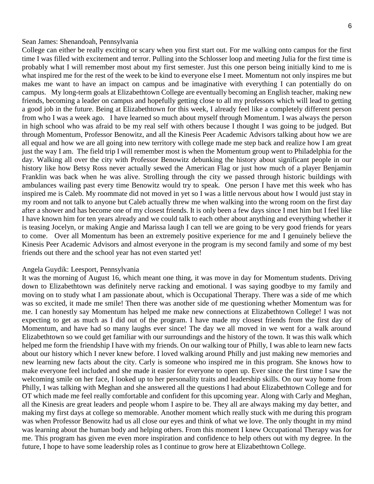#### Sean James: Shenandoah, Pennsylvania

College can either be really exciting or scary when you first start out. For me walking onto campus for the first time I was filled with excitement and terror. Pulling into the Schlosser loop and meeting Julia for the first time is probably what I will remember most about my first semester. Just this one person being initially kind to me is what inspired me for the rest of the week to be kind to everyone else I meet. Momentum not only inspires me but makes me want to have an impact on campus and be imaginative with everything I can potentially do on campus. My long-term goals at Elizabethtown College are eventually becoming an English teacher, making new friends, becoming a leader on campus and hopefully getting close to all my professors which will lead to getting a good job in the future. Being at Elizabethtown for this week, I already feel like a completely different person from who I was a week ago. I have learned so much about myself through Momentum. I was always the person in high school who was afraid to be my real self with others because I thought I was going to be judged. But through Momentum, Professor Benowitz, and all the Kinesis Peer Academic Advisors talking about how we are all equal and how we are all going into new territory with college made me step back and realize how I am great just the way I am. The field trip I will remember most is when the Momentum group went to Philadelphia for the day. Walking all over the city with Professor Benowitz debunking the history about significant people in our history like how Betsy Ross never actually sewed the American Flag or just how much of a player Benjamin Franklin was back when he was alive. Strolling through the city we passed through historic buildings with ambulances wailing past every time Benowitz would try to speak. One person I have met this week who has inspired me is Caleb. My roommate did not moved in yet so I was a little nervous about how I would just stay in my room and not talk to anyone but Caleb actually threw me when walking into the wrong room on the first day after a shower and has become one of my closest friends. It is only been a few days since I met him but I feel like I have known him for ten years already and we could talk to each other about anything and everything whether it is teasing Jocelyn, or making Angie and Marissa laugh I can tell we are going to be very good friends for years to come. Over all Momentum has been an extremely positive experience for me and I genuinely believe the Kinesis Peer Academic Advisors and almost everyone in the program is my second family and some of my best friends out there and the school year has not even started yet!

#### Angela Guydik: Leesport, Pennsylvania

It was the morning of August 16, which meant one thing, it was move in day for Momentum students. Driving down to Elizabethtown was definitely nerve racking and emotional. I was saying goodbye to my family and moving on to study what I am passionate about, which is Occupational Therapy. There was a side of me which was so excited, it made me smile! Then there was another side of me questioning whether Momentum was for me. I can honestly say Momentum has helped me make new connections at Elizabethtown College! I was not expecting to get as much as I did out of the program. I have made my closest friends from the first day of Momentum, and have had so many laughs ever since! The day we all moved in we went for a walk around Elizabethtown so we could get familiar with our surroundings and the history of the town. It was this walk which helped me form the friendship I have with my friends. On our walking tour of Philly, I was able to learn new facts about our history which I never knew before. I loved walking around Philly and just making new memories and new learning new facts about the city. Carly is someone who inspired me in this program. She knows how to make everyone feel included and she made it easier for everyone to open up. Ever since the first time I saw the welcoming smile on her face, I looked up to her personality traits and leadership skills. On our way home from Philly, I was talking with Meghan and she answered all the questions I had about Elizabethtown College and for OT which made me feel really comfortable and confident for this upcoming year. Along with Carly and Meghan, all the Kinesis are great leaders and people whom I aspire to be. They all are always making my day better, and making my first days at college so memorable. Another moment which really stuck with me during this program was when Professor Benowitz had us all close our eyes and think of what we love. The only thought in my mind was learning about the human body and helping others. From this moment I knew Occupational Therapy was for me. This program has given me even more inspiration and confidence to help others out with my degree. In the future, I hope to have some leadership roles as I continue to grow here at Elizabethtown College.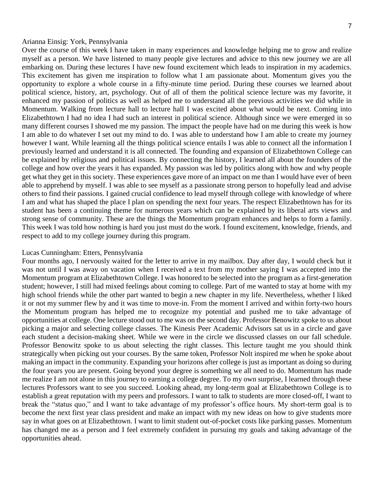#### Arianna Einsig: York, Pennsylvania

Over the course of this week I have taken in many experiences and knowledge helping me to grow and realize myself as a person. We have listened to many people give lectures and advice to this new journey we are all embarking on. During these lectures I have new found excitement which leads to inspiration in my academics. This excitement has given me inspiration to follow what I am passionate about. Momentum gives you the opportunity to explore a whole course in a fifty-minute time period. During these courses we learned about political science, history, art, psychology. Out of all of them the political science lecture was my favorite, it enhanced my passion of politics as well as helped me to understand all the previous activities we did while in Momentum. Walking from lecture hall to lecture hall I was excited about what would be next. Coming into Elizabethtown I had no idea I had such an interest in political science. Although since we were emerged in so many different courses I showed me my passion. The impact the people have had on me during this week is how I am able to do whatever I set out my mind to do. I was able to understand how I am able to create my journey however I want. While learning all the things political science entails I was able to connect all the information I previously learned and understand it is all connected. The founding and expansion of Elizabethtown College can be explained by religious and political issues. By connecting the history, I learned all about the founders of the college and how over the years it has expanded. My passion was led by politics along with how and why people get what they get in this society. These experiences gave more of an impact on me than I would have ever of been able to apprehend by myself. I was able to see myself as a passionate strong person to hopefully lead and advise others to find their passions. I gained crucial confidence to lead myself through college with knowledge of where I am and what has shaped the place I plan on spending the next four years. The respect Elizabethtown has for its student has been a continuing theme for numerous years which can be explained by its liberal arts views and strong sense of community. These are the things the Momentum program enhances and helps to form a family. This week I was told how nothing is hard you just must do the work. I found excitement, knowledge, friends, and respect to add to my college journey during this program.

#### Lucas Cunningham: Etters, Pennsylvania

Four months ago, I nervously waited for the letter to arrive in my mailbox. Day after day, I would check but it was not until I was away on vacation when I received a text from my mother saying I was accepted into the Momentum program at Elizabethtown College. I was honored to be selected into the program as a first-generation student; however, I still had mixed feelings about coming to college. Part of me wanted to stay at home with my high school friends while the other part wanted to begin a new chapter in my life. Nevertheless, whether I liked it or not my summer flew by and it was time to move-in. From the moment I arrived and within forty-two hours the Momentum program has helped me to recognize my potential and pushed me to take advantage of opportunities at college. One lecture stood out to me was on the second day. Professor Benowitz spoke to us about picking a major and selecting college classes. The Kinesis Peer Academic Advisors sat us in a circle and gave each student a decision-making sheet. While we were in the circle we discussed classes on our fall schedule. Professor Benowitz spoke to us about selecting the right classes. This lecture taught me you should think strategically when picking out your courses. By the same token, Professor Nolt inspired me when he spoke about making an impact in the community. Expanding your horizons after college is just as important as doing so during the four years you are present. Going beyond your degree is something we all need to do. Momentum has made me realize I am not alone in this journey to earning a college degree. To my own surprise, I learned through these lectures Professors want to see you succeed. Looking ahead, my long-term goal at Elizabethtown College is to establish a great reputation with my peers and professors. I want to talk to students are more closed-off, I want to break the "status quo," and I want to take advantage of my professor's office hours. My short-term goal is to become the next first year class president and make an impact with my new ideas on how to give students more say in what goes on at Elizabethtown. I want to limit student out-of-pocket costs like parking passes. Momentum has changed me as a person and I feel extremely confident in pursuing my goals and taking advantage of the opportunities ahead.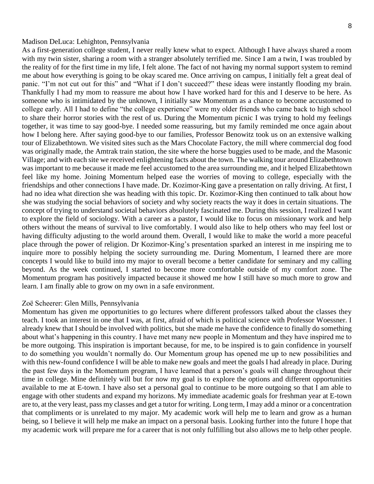#### Madison DeLuca: Lehighton, Pennsylvania

As a first-generation college student, I never really knew what to expect. Although I have always shared a room with my twin sister, sharing a room with a stranger absolutely terrified me. Since I am a twin, I was troubled by the reality of for the first time in my life, I felt alone. The fact of not having my normal support system to remind me about how everything is going to be okay scared me. Once arriving on campus, I initially felt a great deal of panic. "I'm not cut out for this" and "What if I don't succeed?" these ideas were instantly flooding my brain. Thankfully I had my mom to reassure me about how I have worked hard for this and I deserve to be here. As someone who is intimidated by the unknown, I initially saw Momentum as a chance to become accustomed to college early. All I had to define "the college experience" were my older friends who came back to high school to share their horror stories with the rest of us. During the Momentum picnic I was trying to hold my feelings together, it was time to say good-bye. I needed some reassuring, but my family reminded me once again about how I belong here. After saying good-bye to our families, Professor Benowitz took us on an extensive walking tour of Elizabethtown. We visited sites such as the Mars Chocolate Factory, the mill where commercial dog food was originally made, the Amtrak train station, the site where the horse buggies used to be made, and the Masonic Village; and with each site we received enlightening facts about the town. The walking tour around Elizabethtown was important to me because it made me feel accustomed to the area surrounding me, and it helped Elizabethtown feel like my home. Joining Momentum helped ease the worries of moving to college, especially with the friendships and other connections I have made. Dr. Kozimor-King gave a presentation on rally driving. At first, I had no idea what direction she was heading with this topic. Dr. Kozimor-King then continued to talk about how she was studying the social behaviors of society and why society reacts the way it does in certain situations. The concept of trying to understand societal behaviors absolutely fascinated me. During this session, I realized I want to explore the field of sociology. With a career as a pastor, I would like to focus on missionary work and help others without the means of survival to live comfortably. I would also like to help others who may feel lost or having difficulty adjusting to the world around them. Overall, I would like to make the world a more peaceful place through the power of religion. Dr Kozimor-King's presentation sparked an interest in me inspiring me to inquire more to possibly helping the society surrounding me. During Momentum, I learned there are more concepts I would like to build into my major to overall become a better candidate for seminary and my calling beyond. As the week continued, I started to become more comfortable outside of my comfort zone. The Momentum program has positively impacted because it showed me how I still have so much more to grow and learn. I am finally able to grow on my own in a safe environment.

#### Zoё Scheerer: Glen Mills, Pennsylvania

Momentum has given me opportunities to go lectures where different professors talked about the classes they teach. I took an interest in one that I was, at first, afraid of which is political science with Professor Woessner. I already knew that I should be involved with politics, but she made me have the confidence to finally do something about what's happening in this country. I have met many new people in Momentum and they have inspired me to be more outgoing. This inspiration is important because, for me, to be inspired is to gain confidence in yourself to do something you wouldn't normally do. Our Momentum group has opened me up to new possibilities and with this new-found confidence I will be able to make new goals and meet the goals I had already in place. During the past few days in the Momentum program, I have learned that a person's goals will change throughout their time in college. Mine definitely will but for now my goal is to explore the options and different opportunities available to me at E-town. I have also set a personal goal to continue to be more outgoing so that I am able to engage with other students and expand my horizons. My immediate academic goals for freshman year at E-town are to, at the very least, pass my classes and get a tutor for writing. Long term, I may add a minor or a concentration that compliments or is unrelated to my major. My academic work will help me to learn and grow as a human being, so I believe it will help me make an impact on a personal basis. Looking further into the future I hope that my academic work will prepare me for a career that is not only fulfilling but also allows me to help other people.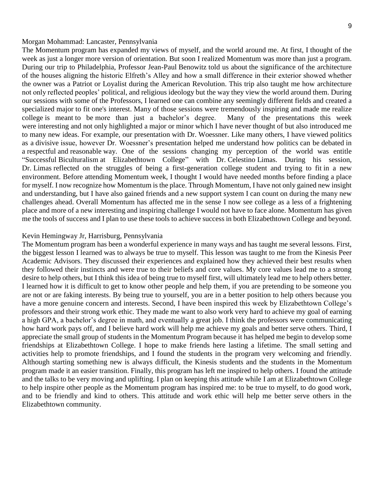#### Morgan Mohammad: Lancaster, Pennsylvania

The Momentum program has expanded my views of myself, and the world around me. At first, I thought of the week as just a longer more version of orientation. But soon I realized Momentum was more than just a program. During our trip to Philadelphia, Professor Jean-Paul Benowitz told us about the significance of the architecture of the houses aligning the historic Elfreth's Alley and how a small difference in their exterior showed whether the owner was a Patriot or Loyalist during the American Revolution. This trip also taught me how architecture not only reflected peoples' political, and religious ideology but the way they view the world around them. During our sessions with some of the Professors, I learned one can combine any seemingly different fields and created a specialized major to fit one's interest. Many of those sessions were tremendously inspiring and made me realize college is meant to be more than just a bachelor's degree. Many of the presentations this week were interesting and not only highlighted a major or minor which I have never thought of but also introduced me to many new ideas. For example, our presentation with Dr. Woessner. Like many others, I have viewed politics as a divisive issue, however Dr. Woessner's presentation helped me understand how politics can be debated in a respectful and reasonable way. One of the sessions changing my perception of the world was entitle "Successful Biculturalism at Elizabethtown College" with Dr. Celestino Limas. During his session, Dr. Limas reflected on the struggles of being a first-generation college student and trying to fit in a new environment. Before attending Momentum week, I thought I would have needed months before finding a place for myself. I now recognize how Momentum is the place. Through Momentum, I have not only gained new insight and understanding, but I have also gained friends and a new support system I can count on during the many new challenges ahead. Overall Momentum has affected me in the sense I now see college as a less of a frightening place and more of a new interesting and inspiring challenge I would not have to face alone. Momentum has given me the tools of success and I plan to use these tools to achieve success in both Elizabethtown College and beyond.

#### Kevin Hemingway Jr, Harrisburg, Pennsylvania

The Momentum program has been a wonderful experience in many ways and has taught me several lessons. First, the biggest lesson I learned was to always be true to myself. This lesson was taught to me from the Kinesis Peer Academic Advisors. They discussed their experiences and explained how they achieved their best results when they followed their instincts and were true to their beliefs and core values. My core values lead me to a strong desire to help others, but I think this idea of being true to myself first, will ultimately lead me to help others better. I learned how it is difficult to get to know other people and help them, if you are pretending to be someone you are not or are faking interests. By being true to yourself, you are in a better position to help others because you have a more genuine concern and interests. Second, I have been inspired this week by Elizabethtown College's professors and their strong work ethic. They made me want to also work very hard to achieve my goal of earning a high GPA, a bachelor's degree in math, and eventually a great job. I think the professors were communicating how hard work pays off, and I believe hard work will help me achieve my goals and better serve others. Third, I appreciate the small group of students in the Momentum Program because it has helped me begin to develop some friendships at Elizabethtown College. I hope to make friends here lasting a lifetime. The small setting and activities help to promote friendships, and I found the students in the program very welcoming and friendly. Although starting something new is always difficult, the Kinesis students and the students in the Momentum program made it an easier transition. Finally, this program has left me inspired to help others. I found the attitude and the talks to be very moving and uplifting. I plan on keeping this attitude while I am at Elizabethtown College to help inspire other people as the Momentum program has inspired me: to be true to myself, to do good work, and to be friendly and kind to others. This attitude and work ethic will help me better serve others in the Elizabethtown community.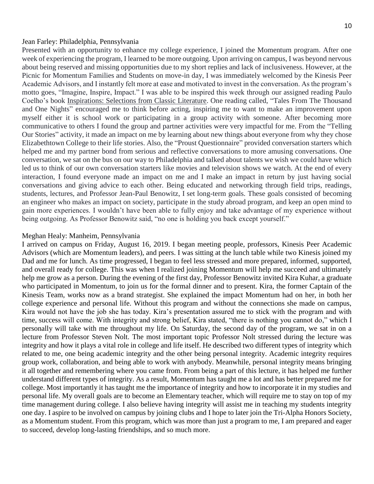#### Jean Farley: Philadelphia, Pennsylvania

Presented with an opportunity to enhance my college experience, I joined the Momentum program. After one week of experiencing the program, I learned to be more outgoing. Upon arriving on campus, I was beyond nervous about being reserved and missing opportunities due to my short replies and lack of inclusiveness. However, at the Picnic for Momentum Families and Students on move-in day, I was immediately welcomed by the Kinesis Peer Academic Advisors, and I instantly felt more at ease and motivated to invest in the conversation. As the program's motto goes, "Imagine, Inspire, Impact." I was able to be inspired this week through our assigned reading Paulo Coelho's book Inspirations: Selections from Classic Literature. One reading called, "Tales From The Thousand and One Nights" encouraged me to think before acting, inspiring me to want to make an improvement upon myself either it is school work or participating in a group activity with someone. After becoming more communicative to others I found the group and partner activities were very impactful for me. From the "Telling Our Stories" activity, it made an impact on me by learning about new things about everyone from why they chose Elizabethtown College to their life stories. Also, the "Proust Questionnaire" provided conversation starters which helped me and my partner bond from serious and reflective conversations to more amusing conversations. One conversation, we sat on the bus on our way to Philadelphia and talked about talents we wish we could have which led us to think of our own conversation starters like movies and television shows we watch. At the end of every interaction, I found everyone made an impact on me and I make an impact in return by just having social conversations and giving advice to each other. Being educated and networking through field trips, readings, students, lectures, and Professor Jean-Paul Benowitz, I set long-term goals. These goals consisted of becoming an engineer who makes an impact on society, participate in the study abroad program, and keep an open mind to gain more experiences. I wouldn't have been able to fully enjoy and take advantage of my experience without being outgoing. As Professor Benowitz said, "no one is holding you back except yourself."

#### Meghan Healy: Manheim, Pennsylvania

I arrived on campus on Friday, August 16, 2019. I began meeting people, professors, Kinesis Peer Academic Advisors (which are Momentum leaders), and peers. I was sitting at the lunch table while two Kinesis joined my Dad and me for lunch. As time progressed, I began to feel less stressed and more prepared, informed, supported, and overall ready for college. This was when I realized joining Momentum will help me succeed and ultimately help me grow as a person. During the evening of the first day, Professor Benowitz invited Kira Kuhar, a graduate who participated in Momentum, to join us for the formal dinner and to present. Kira, the former Captain of the Kinesis Team, works now as a brand strategist. She explained the impact Momentum had on her, in both her college experience and personal life. Without this program and without the connections she made on campus, Kira would not have the job she has today. Kira's presentation assured me to stick with the program and with time, success will come. With integrity and strong belief, Kira stated, "there is nothing you cannot do," which I personally will take with me throughout my life. On Saturday, the second day of the program, we sat in on a lecture from Professor Steven Nolt. The most important topic Professor Nolt stressed during the lecture was integrity and how it plays a vital role in college and life itself. He described two different types of integrity which related to me, one being academic integrity and the other being personal integrity. Academic integrity requires group work, collaboration, and being able to work with anybody. Meanwhile, personal integrity means bringing it all together and remembering where you came from. From being a part of this lecture, it has helped me further understand different types of integrity. As a result, Momentum has taught me a lot and has better prepared me for college. Most importantly it has taught me the importance of integrity and how to incorporate it in my studies and personal life. My overall goals are to become an Elementary teacher, which will require me to stay on top of my time management during college. I also believe having integrity will assist me in teaching my students integrity one day. I aspire to be involved on campus by joining clubs and I hope to later join the Tri-Alpha Honors Society, as a Momentum student. From this program, which was more than just a program to me, I am prepared and eager to succeed, develop long-lasting friendships, and so much more.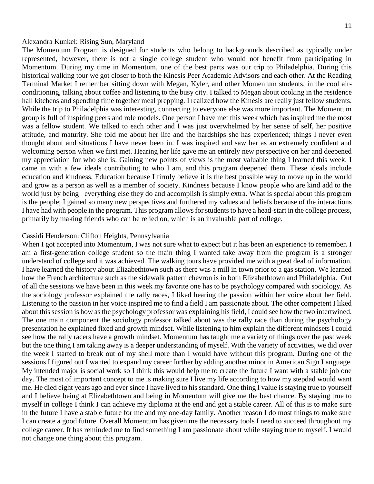#### Alexandra Kunkel: Rising Sun, Maryland

The Momentum Program is designed for students who belong to backgrounds described as typically under represented, however, there is not a single college student who would not benefit from participating in Momentum. During my time in Momentum, one of the best parts was our trip to Philadelphia. During this historical walking tour we got closer to both the Kinesis Peer Academic Advisors and each other. At the Reading Terminal Market I remember sitting down with Megan, Kyler, and other Momentum students, in the cool airconditioning, talking about coffee and listening to the busy city. I talked to Megan about cooking in the residence hall kitchens and spending time together meal prepping. I realized how the Kinesis are really just fellow students. While the trip to Philadelphia was interesting, connecting to everyone else was more important. The Momentum group is full of inspiring peers and role models. One person I have met this week which has inspired me the most was a fellow student. We talked to each other and I was just overwhelmed by her sense of self, her positive attitude, and maturity. She told me about her life and the hardships she has experienced; things I never even thought about and situations I have never been in. I was inspired and saw her as an extremely confident and welcoming person when we first met. Hearing her life gave me an entirely new perspective on her and deepened my appreciation for who she is. Gaining new points of views is the most valuable thing I learned this week. I came in with a few ideals contributing to who I am, and this program deepened them. These ideals include education and kindness. Education because I firmly believe it is the best possible way to move up in the world and grow as a person as well as a member of society. Kindness because I know people who are kind add to the world just by being– everything else they do and accomplish is simply extra. What is special about this program is the people; I gained so many new perspectives and furthered my values and beliefs because of the interactions I have had with people in the program. This program allows for students to have a head-start in the college process, primarily by making friends who can be relied on, which is an invaluable part of college.

#### Cassidi Henderson: Clifton Heights, Pennsylvania

When I got accepted into Momentum, I was not sure what to expect but it has been an experience to remember. I am a first-generation college student so the main thing I wanted take away from the program is a stronger understand of college and it was achieved. The walking tours have provided me with a great deal of information. I have learned the history about Elizabethtown such as there was a mill in town prior to a gas station. We learned how the French architecture such as the sidewalk pattern chevron is in both Elizabethtown and Philadelphia. Out of all the sessions we have been in this week my favorite one has to be psychology compared with sociology. As the sociology professor explained the rally races, I liked hearing the passion within her voice about her field. Listening to the passion in her voice inspired me to find a field I am passionate about. The other competent I liked about this session is how as the psychology professor was explaining his field, I could see how the two intertwined. The one main component the sociology professor talked about was the rally race than during the psychology presentation he explained fixed and growth mindset. While listening to him explain the different mindsets I could see how the rally racers have a growth mindset. Momentum has taught me a variety of things over the past week but the one thing I am taking away is a deeper understanding of myself. With the variety of activities, we did over the week I started to break out of my shell more than I would have without this program. During one of the sessions I figured out I wanted to expand my career further by adding another minor in American Sign Language. My intended major is social work so I think this would help me to create the future I want with a stable job one day. The most of important concept to me is making sure I live my life according to how my stepdad would want me. He died eight years ago and ever since I have lived to his standard. One thing I value is staying true to yourself and I believe being at Elizabethtown and being in Momentum will give me the best chance. By staying true to myself in college I think I can achieve my diploma at the end and get a stable career. All of this is to make sure in the future I have a stable future for me and my one-day family. Another reason I do most things to make sure I can create a good future. Overall Momentum has given me the necessary tools I need to succeed throughout my college career. It has reminded me to find something I am passionate about while staying true to myself. I would not change one thing about this program.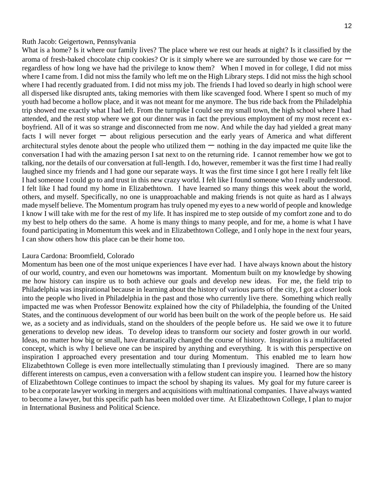#### Ruth Jacob: Geigertown, Pennsylvania

What is a home? Is it where our family lives? The place where we rest our heads at night? Is it classified by the aroma of fresh-baked chocolate chip cookies? Or is it simply where we are surrounded by those we care for 一 regardless of how long we have had the privilege to know them? When I moved in for college, I did not miss where I came from. I did not miss the family who left me on the High Library steps. I did not miss the high school where I had recently graduated from. I did not miss my job. The friends I had loved so dearly in high school were all dispersed like disrupted ants, taking memories with them like scavenged food. Where I spent so much of my youth had become a hollow place, and it was not meant for me anymore. The bus ride back from the Philadelphia trip showed me exactly what I had left. From the turnpike I could see my small town, the high school where I had attended, and the rest stop where we got our dinner was in fact the previous employment of my most recent exboyfriend. All of it was so strange and disconnected from me now. And while the day had yielded a great many facts I will never forget - about religious persecution and the early years of America and what different architectural styles denote about the people who utilized them  $-$  nothing in the day impacted me quite like the conversation I had with the amazing person I sat next to on the returning ride. I cannot remember how we got to talking, nor the details of our conversation at full-length. I do, however, remember it was the first time I had really laughed since my friends and I had gone our separate ways. It was the first time since I got here I really felt like I had someone I could go to and trust in this new crazy world. I felt like I found someone who I really understood. I felt like I had found my home in Elizabethtown. I have learned so many things this week about the world, others, and myself. Specifically, no one is unapproachable and making friends is not quite as hard as I always made myself believe. The Momentum program has truly opened my eyes to a new world of people and knowledge I know I will take with me for the rest of my life. It has inspired me to step outside of my comfort zone and to do my best to help others do the same. A home is many things to many people, and for me, a home is what I have found participating in Momentum this week and in Elizabethtown College, and I only hope in the next four years, I can show others how this place can be their home too.

#### Laura Cardona: Broomfield, Colorado

Momentum has been one of the most unique experiences I have ever had. I have always known about the history of our world, country, and even our hometowns was important. Momentum built on my knowledge by showing me how history can inspire us to both achieve our goals and develop new ideas. For me, the field trip to Philadelphia was inspirational because in learning about the history of various parts of the city, I got a closer look into the people who lived in Philadelphia in the past and those who currently live there. Something which really impacted me was when Professor Benowitz explained how the city of Philadelphia, the founding of the United States, and the continuous development of our world has been built on the work of the people before us. He said we, as a society and as individuals, stand on the shoulders of the people before us. He said we owe it to future generations to develop new ideas. To develop ideas to transform our society and foster growth in our world. Ideas, no matter how big or small, have dramatically changed the course of history. Inspiration is a multifaceted concept, which is why I believe one can be inspired by anything and everything. It is with this perspective on inspiration I approached every presentation and tour during Momentum. This enabled me to learn how Elizabethtown College is even more intellectually stimulating than I previously imagined. There are so many different interests on campus, even a conversation with a fellow student can inspire you. I learned how the history of Elizabethtown College continues to impact the school by shaping its values. My goal for my future career is to be a corporate lawyer working in mergers and acquisitions with multinational companies. I have always wanted to become a lawyer, but this specific path has been molded over time. At Elizabethtown College, I plan to major in International Business and Political Science.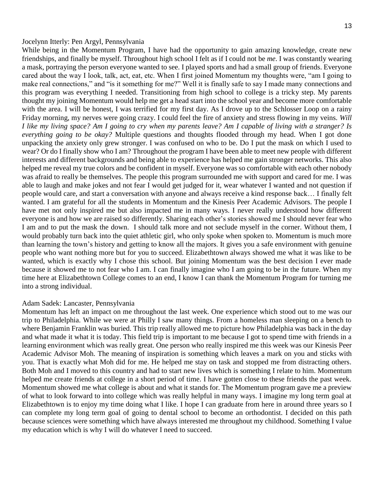#### Jocelynn Itterly: Pen Argyl, Pennsylvania

While being in the Momentum Program, I have had the opportunity to gain amazing knowledge, create new friendships, and finally be myself. Throughout high school I felt as if I could not be *me*. I was constantly wearing a mask, portraying the person everyone wanted to see. I played sports and had a small group of friends. Everyone cared about the way I look, talk, act, eat, etc. When I first joined Momentum my thoughts were, "am I going to make real connections," and "is it something for me?" Well it is finally safe to say I made many connections and this program was everything I needed. Transitioning from high school to college is a tricky step. My parents thought my joining Momentum would help me get a head start into the school year and become more comfortable with the area. I will be honest, I was terrified for my first day. As I drove up to the Schlosser Loop on a rainy Friday morning, my nerves were going crazy. I could feel the fire of anxiety and stress flowing in my veins. *Will I like my living space? Am I going to cry when my parents leave? Am I capable of living with a stranger? Is everything going to be okay?* Multiple questions and thoughts flooded through my head. When I got done unpacking the anxiety only grew stronger. I was confused on who to be. Do I put the mask on which I used to wear? Or do I finally show who I am? Throughout the program I have been able to meet new people with different interests and different backgrounds and being able to experience has helped me gain stronger networks. This also helped me reveal my true colors and be confident in myself. Everyone was so comfortable with each other nobody was afraid to really be themselves. The people this program surrounded me with support and cared for me. I was able to laugh and make jokes and not fear I would get judged for it, wear whatever I wanted and not question if people would care, and start a conversation with anyone and always receive a kind response back… I finally felt wanted. I am grateful for all the students in Momentum and the Kinesis Peer Academic Advisors. The people I have met not only inspired me but also impacted me in many ways. I never really understood how different everyone is and how we are raised so differently. Sharing each other's stories showed me I should never fear who I am and to put the mask the down. I should talk more and not seclude myself in the corner. Without them, I would probably turn back into the quiet athletic girl, who only spoke when spoken to. Momentum is much more than learning the town's history and getting to know all the majors. It gives you a safe environment with genuine people who want nothing more but for you to succeed. Elizabethtown always showed me what it was like to be wanted, which is exactly why I chose this school. But joining Momentum was the best decision I ever made because it showed me to not fear who I am. I can finally imagine who I am going to be in the future. When my time here at Elizabethtown College comes to an end, I know I can thank the Momentum Program for turning me into a strong individual.

#### Adam Sadek: Lancaster, Pennsylvania

Momentum has left an impact on me throughout the last week. One experience which stood out to me was our trip to Philadelphia. While we were at Philly I saw many things. From a homeless man sleeping on a bench to where Benjamin Franklin was buried. This trip really allowed me to picture how Philadelphia was back in the day and what made it what it is today. This field trip is important to me because I got to spend time with friends in a learning environment which was really great. One person who really inspired me this week was our Kinesis Peer Academic Advisor Moh. The meaning of inspiration is something which leaves a mark on you and sticks with you. That is exactly what Moh did for me. He helped me stay on task and stopped me from distracting others. Both Moh and I moved to this country and had to start new lives which is something I relate to him. Momentum helped me create friends at college in a short period of time. I have gotten close to these friends the past week. Momentum showed me what college is about and what it stands for. The Momentum program gave me a preview of what to look forward to into college which was really helpful in many ways. I imagine my long term goal at Elizabethtown is to enjoy my time doing what I like. I hope I can graduate from here in around three years so I can complete my long term goal of going to dental school to become an orthodontist. I decided on this path because sciences were something which have always interested me throughout my childhood. Something I value my education which is why I will do whatever I need to succeed.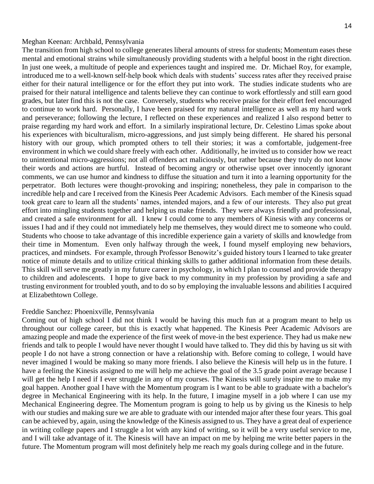#### Meghan Keenan: Archbald, Pennsylvania

The transition from high school to college generates liberal amounts of stress for students; Momentum eases these mental and emotional strains while simultaneously providing students with a helpful boost in the right direction. In just one week, a multitude of people and experiences taught and inspired me. Dr. Michael Roy, for example, introduced me to a well-known self-help book which deals with students' success rates after they received praise either for their natural intelligence or for the effort they put into work. The studies indicate students who are praised for their natural intelligence and talents believe they can continue to work effortlessly and still earn good grades, but later find this is not the case. Conversely, students who receive praise for their effort feel encouraged to continue to work hard. Personally, I have been praised for my natural intelligence as well as my hard work and perseverance; following the lecture, I reflected on these experiences and realized I also respond better to praise regarding my hard work and effort. In a similarly inspirational lecture, Dr. Celestino Limas spoke about his experiences with biculturalism, micro-aggressions, and just simply being different. He shared his personal history with our group, which prompted others to tell their stories; it was a comfortable, judgement-free environment in which we could share freely with each other. Additionally, he invited us to consider how we react to unintentional micro-aggressions; not all offenders act maliciously, but rather because they truly do not know their words and actions are hurtful. Instead of becoming angry or otherwise upset over innocently ignorant comments, we can use humor and kindness to diffuse the situation and turn it into a learning opportunity for the perpetrator. Both lectures were thought-provoking and inspiring; nonetheless, they pale in comparison to the incredible help and care I received from the Kinesis Peer Academic Advisors. Each member of the Kinesis squad took great care to learn all the students' names, intended majors, and a few of our interests. They also put great effort into mingling students together and helping us make friends. They were always friendly and professional, and created a safe environment for all. I knew I could come to any members of Kinesis with any concerns or issues I had and if they could not immediately help me themselves, they would direct me to someone who could. Students who choose to take advantage of this incredible experience gain a variety of skills and knowledge from their time in Momentum. Even only halfway through the week, I found myself employing new behaviors, practices, and mindsets. For example, through Professor Benowitz's guided history tours I learned to take greater notice of minute details and to utilize critical thinking skills to gather additional information from these details. This skill will serve me greatly in my future career in psychology, in which I plan to counsel and provide therapy to children and adolescents. I hope to give back to my community in my profession by providing a safe and trusting environment for troubled youth, and to do so by employing the invaluable lessons and abilities I acquired at Elizabethtown College.

#### Freddie Sanchez: Phoenixville, Pennsylvania

Coming out of high school I did not think I would be having this much fun at a program meant to help us throughout our college career, but this is exactly what happened. The Kinesis Peer Academic Advisors are amazing people and made the experience of the first week of move-in the best experience. They had us make new friends and talk to people I would have never thought I would have talked to. They did this by having us sit with people I do not have a strong connection or have a relationship with. Before coming to college, I would have never imagined I would be making so many more friends. I also believe the Kinesis will help us in the future. I have a feeling the Kinesis assigned to me will help me achieve the goal of the 3.5 grade point average because I will get the help I need if I ever struggle in any of my courses. The Kinesis will surely inspire me to make my goal happen. Another goal I have with the Momentum program is I want to be able to graduate with a bachelor's degree in Mechanical Engineering with its help. In the future, I imagine myself in a job where I can use my Mechanical Engineering degree. The Momentum program is going to help us by giving us the Kinesis to help with our studies and making sure we are able to graduate with our intended major after these four years. This goal can be achieved by, again, using the knowledge of the Kinesis assigned to us. They have a great deal of experience in writing college papers and I struggle a lot with any kind of writing, so it will be a very useful service to me, and I will take advantage of it. The Kinesis will have an impact on me by helping me write better papers in the future. The Momentum program will most definitely help me reach my goals during college and in the future.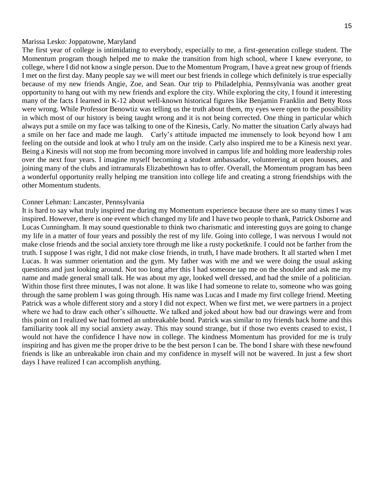#### Marissa Lesko: Joppatowne, Maryland

The first year of college is intimidating to everybody, especially to me, a first-generation college student. The Momentum program though helped me to make the transition from high school, where I knew everyone, to college, where I did not know a single person. Due to the Momentum Program, I have a great new group of friends I met on the first day. Many people say we will meet our best friends in college which definitely is true especially because of my new friends Angie, Zoe, and Sean. Our trip to Philadelphia, Pennsylvania was another great opportunity to hang out with my new friends and explore the city. While exploring the city, I found it interesting many of the facts I learned in K-12 about well-known historical figures like Benjamin Franklin and Betty Ross were wrong. While Professor Benowtiz was telling us the truth about them, my eyes were open to the possibility in which most of our history is being taught wrong and it is not being corrected. One thing in particular which always put a smile on my face was talking to one of the Kinesis, Carly. No matter the situation Carly always had a smile on her face and made me laugh. Carly's attitude impacted me immensely to look beyond how I am feeling on the outside and look at who I truly am on the inside. Carly also inspired me to be a Kinesis next year. Being a Kinesis will not stop me from becoming more involved in campus life and holding more leadership roles over the next four years. I imagine myself becoming a student ambassador, volunteering at open houses, and joining many of the clubs and intramurals Elizabethtown has to offer. Overall, the Momentum program has been a wonderful opportunity really helping me transition into college life and creating a strong friendships with the other Momentum students.

#### Conner Lehman: Lancaster, Pennsylvania

It is hard to say what truly inspired me during my Momentum experience because there are so many times I was inspired. However, there is one event which changed my life and I have two people to thank, Patrick Osborne and Lucas Cunningham. It may sound questionable to think two charismatic and interesting guys are going to change my life in a matter of four years and possibly the rest of my life. Going into college, I was nervous I would not make close friends and the social anxiety tore through me like a rusty pocketknife. I could not be farther from the truth. I suppose I was right, I did not make close friends, in truth, I have made brothers. It all started when I met Lucas. It was summer orientation and the gym. My father was with me and we were doing the usual asking questions and just looking around. Not too long after this I had someone tap me on the shoulder and ask me my name and made general small talk. He was about my age, looked well dressed, and had the smile of a politician. Within those first three minutes, I was not alone. It was like I had someone to relate to, someone who was going through the same problem I was going through. His name was Lucas and I made my first college friend. Meeting Patrick was a whole different story and a story I did not expect. When we first met, we were partners in a project where we had to draw each other's silhouette. We talked and joked about how bad our drawings were and from this point on I realized we had formed an unbreakable bond. Patrick was similar to my friends back home and this familiarity took all my social anxiety away. This may sound strange, but if those two events ceased to exist, I would not have the confidence I have now in college. The kindness Momentum has provided for me is truly inspiring and has given me the proper drive to be the best person I can be. The bond I share with these newfound friends is like an unbreakable iron chain and my confidence in myself will not be wavered. In just a few short days I have realized I can accomplish anything.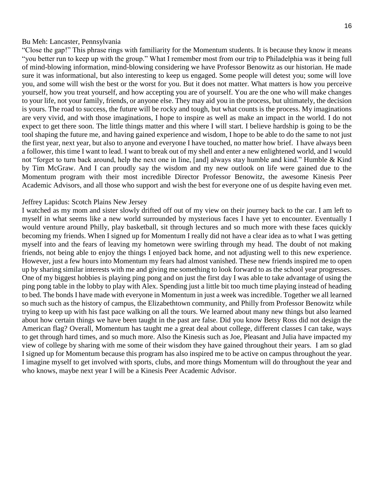#### Bu Meh: Lancaster, Pennsylvania

"Close the gap!" This phrase rings with familiarity for the Momentum students. It is because they know it means "you better run to keep up with the group." What I remember most from our trip to Philadelphia was it being full of mind-blowing information, mind-blowing considering we have Professor Benowitz as our historian. He made sure it was informational, but also interesting to keep us engaged. Some people will detest you; some will love you, and some will wish the best or the worst for you. But it does not matter. What matters is how you perceive yourself, how you treat yourself, and how accepting you are of yourself. You are the one who will make changes to your life, not your family, friends, or anyone else. They may aid you in the process, but ultimately, the decision is yours. The road to success, the future will be rocky and tough, but what counts is the process. My imaginations are very vivid, and with those imaginations, I hope to inspire as well as make an impact in the world. I do not expect to get there soon. The little things matter and this where I will start. I believe hardship is going to be the tool shaping the future me, and having gained experience and wisdom, I hope to be able to do the same to not just the first year, next year, but also to anyone and everyone I have touched, no matter how brief. I have always been a follower, this time I want to lead. I want to break out of my shell and enter a new enlightened world, and I would not "forget to turn back around, help the next one in line, [and] always stay humble and kind." Humble & Kind by Tim McGraw. And I can proudly say the wisdom and my new outlook on life were gained due to the Momentum program with their most incredible Director Professor Benowitz, the awesome Kinesis Peer Academic Advisors, and all those who support and wish the best for everyone one of us despite having even met.

#### Jeffrey Lapidus: Scotch Plains New Jersey

I watched as my mom and sister slowly drifted off out of my view on their journey back to the car. I am left to myself in what seems like a new world surrounded by mysterious faces I have yet to encounter. Eventually I would venture around Philly, play basketball, sit through lectures and so much more with these faces quickly becoming my friends. When I signed up for Momentum I really did not have a clear idea as to what I was getting myself into and the fears of leaving my hometown were swirling through my head. The doubt of not making friends, not being able to enjoy the things I enjoyed back home, and not adjusting well to this new experience. However, just a few hours into Momentum my fears had almost vanished. These new friends inspired me to open up by sharing similar interests with me and giving me something to look forward to as the school year progresses. One of my biggest hobbies is playing ping pong and on just the first day I was able to take advantage of using the ping pong table in the lobby to play with Alex. Spending just a little bit too much time playing instead of heading to bed. The bonds I have made with everyone in Momentum in just a week was incredible. Together we all learned so much such as the history of campus, the Elizabethtown community, and Philly from Professor Benowitz while trying to keep up with his fast pace walking on all the tours. We learned about many new things but also learned about how certain things we have been taught in the past are false. Did you know Betsy Ross did not design the American flag? Overall, Momentum has taught me a great deal about college, different classes I can take, ways to get through hard times, and so much more. Also the Kinesis such as Joe, Pleasant and Julia have impacted my view of college by sharing with me some of their wisdom they have gained throughout their years. I am so glad I signed up for Momentum because this program has also inspired me to be active on campus throughout the year. I imagine myself to get involved with sports, clubs, and more things Momentum will do throughout the year and who knows, maybe next year I will be a Kinesis Peer Academic Advisor.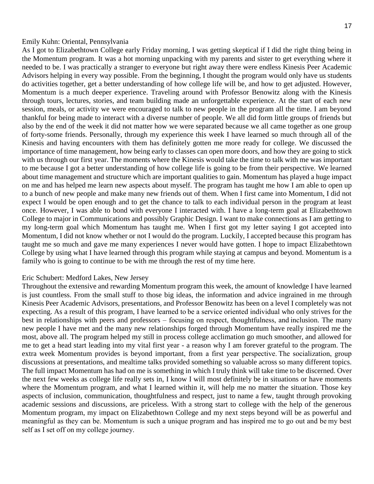#### Emily Kuhn: Oriental, Pennsylvania

As I got to Elizabethtown College early Friday morning, I was getting skeptical if I did the right thing being in the Momentum program. It was a hot morning unpacking with my parents and sister to get everything where it needed to be. I was practically a stranger to everyone but right away there were endless Kinesis Peer Academic Advisors helping in every way possible. From the beginning, I thought the program would only have us students do activities together, get a better understanding of how college life will be, and how to get adjusted. However, Momentum is a much deeper experience. Traveling around with Professor Benowitz along with the Kinesis through tours, lectures, stories, and team building made an unforgettable experience. At the start of each new session, meals, or activity we were encouraged to talk to new people in the program all the time. I am beyond thankful for being made to interact with a diverse number of people. We all did form little groups of friends but also by the end of the week it did not matter how we were separated because we all came together as one group of forty-some friends. Personally, through my experience this week I have learned so much through all of the Kinesis and having encounters with them has definitely gotten me more ready for college. We discussed the importance of time management, how being early to classes can open more doors, and how they are going to stick with us through our first year. The moments where the Kinesis would take the time to talk with me was important to me because I got a better understanding of how college life is going to be from their perspective. We learned about time management and structure which are important qualities to gain. Momentum has played a huge impact on me and has helped me learn new aspects about myself. The program has taught me how I am able to open up to a bunch of new people and make many new friends out of them. When I first came into Momentum, I did not expect I would be open enough and to get the chance to talk to each individual person in the program at least once. However, I was able to bond with everyone I interacted with. I have a long-term goal at Elizabethtown College to major in Communications and possibly Graphic Design. I want to make connections as I am getting to my long-term goal which Momentum has taught me. When I first got my letter saying I got accepted into Momentum, I did not know whether or not I would do the program. Luckily, I accepted because this program has taught me so much and gave me many experiences I never would have gotten. I hope to impact Elizabethtown College by using what I have learned through this program while staying at campus and beyond. Momentum is a family who is going to continue to be with me through the rest of my time here.

#### Eric Schubert: Medford Lakes, New Jersey

Throughout the extensive and rewarding Momentum program this week, the amount of knowledge I have learned is just countless. From the small stuff to those big ideas, the information and advice ingrained in me through Kinesis Peer Academic Advisors, presentations, and Professor Benowitz has been on a level I completely was not expecting. As a result of this program, I have learned to be a service oriented individual who only strives for the best in relationships with peers and professors – focusing on respect, thoughtfulness, and inclusion. The many new people I have met and the many new relationships forged through Momentum have really inspired me the most, above all. The program helped my still in process college acclimation go much smoother, and allowed for me to get a head start leading into my vital first year - a reason why I am forever grateful to the program. The extra week Momentum provides is beyond important, from a first year perspective. The socialization, group discussions at presentations, and mealtime talks provided something so valuable across so many different topics. The full impact Momentum has had on me is something in which I truly think will take time to be discerned. Over the next few weeks as college life really sets in, I know I will most definitely be in situations or have moments where the Momentum program, and what I learned within it, will help me no matter the situation. Those key aspects of inclusion, communication, thoughtfulness and respect, just to name a few, taught through provoking academic sessions and discussions, are priceless. With a strong start to college with the help of the generous Momentum program, my impact on Elizabethtown College and my next steps beyond will be as powerful and meaningful as they can be. Momentum is such a unique program and has inspired me to go out and be my best self as I set off on my college journey.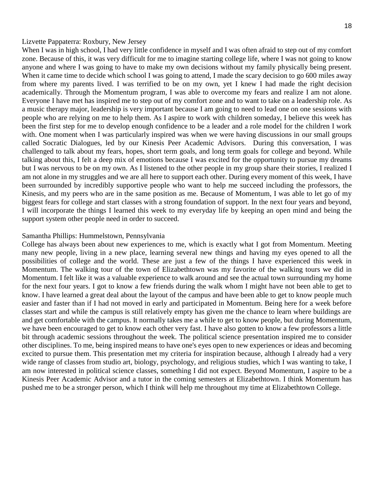#### Lizvette Pappaterra: Roxbury, New Jersey

When I was in high school, I had very little confidence in myself and I was often afraid to step out of my comfort zone. Because of this, it was very difficult for me to imagine starting college life, where I was not going to know anyone and where I was going to have to make my own decisions without my family physically being present. When it came time to decide which school I was going to attend, I made the scary decision to go 600 miles away from where my parents lived. I was terrified to be on my own, yet I knew I had made the right decision academically. Through the Momentum program, I was able to overcome my fears and realize I am not alone. Everyone I have met has inspired me to step out of my comfort zone and to want to take on a leadership role. As a music therapy major, leadership is very important because I am going to need to lead one on one sessions with people who are relying on me to help them. As I aspire to work with children someday, I believe this week has been the first step for me to develop enough confidence to be a leader and a role model for the children I work with. One moment when I was particularly inspired was when we were having discussions in our small groups called Socratic Dialogues, led by our Kinesis Peer Academic Advisors. During this conversation, I was challenged to talk about my fears, hopes, short term goals, and long term goals for college and beyond. While talking about this, I felt a deep mix of emotions because I was excited for the opportunity to pursue my dreams but I was nervous to be on my own. As I listened to the other people in my group share their stories, I realized I am not alone in my struggles and we are all here to support each other. During every moment of this week, I have been surrounded by incredibly supportive people who want to help me succeed including the professors, the Kinesis, and my peers who are in the same position as me. Because of Momentum, I was able to let go of my biggest fears for college and start classes with a strong foundation of support. In the next four years and beyond, I will incorporate the things I learned this week to my everyday life by keeping an open mind and being the support system other people need in order to succeed.

#### Samantha Phillips: Hummelstown, Pennsylvania

College has always been about new experiences to me, which is exactly what I got from Momentum. Meeting many new people, living in a new place, learning several new things and having my eyes opened to all the possibilities of college and the world. These are just a few of the things I have experienced this week in Momentum. The walking tour of the town of Elizabethtown was my favorite of the walking tours we did in Momentum. I felt like it was a valuable experience to walk around and see the actual town surrounding my home for the next four years. I got to know a few friends during the walk whom I might have not been able to get to know. I have learned a great deal about the layout of the campus and have been able to get to know people much easier and faster than if I had not moved in early and participated in Momentum. Being here for a week before classes start and while the campus is still relatively empty has given me the chance to learn where buildings are and get comfortable with the campus. It normally takes me a while to get to know people, but during Momentum, we have been encouraged to get to know each other very fast. I have also gotten to know a few professors a little bit through academic sessions throughout the week. The political science presentation inspired me to consider other disciplines. To me, being inspired means to have one's eyes open to new experiences or ideas and becoming excited to pursue them. This presentation met my criteria for inspiration because, although I already had a very wide range of classes from studio art, biology, psychology, and religious studies, which I was wanting to take, I am now interested in political science classes, something I did not expect. Beyond Momentum, I aspire to be a Kinesis Peer Academic Advisor and a tutor in the coming semesters at Elizabethtown. I think Momentum has pushed me to be a stronger person, which I think will help me throughout my time at Elizabethtown College.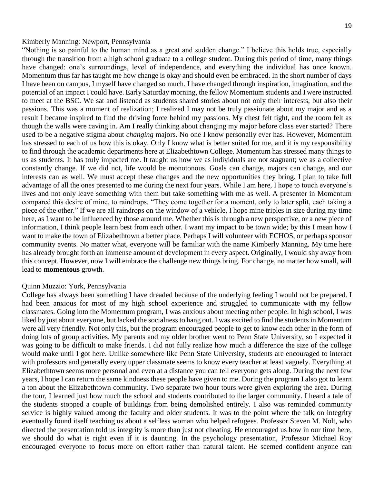#### Kimberly Manning: Newport, Pennsylvania

"Nothing is so painful to the human mind as a great and sudden change." I believe this holds true, especially through the transition from a high school graduate to a college student. During this period of time, many things have changed: one's surroundings, level of independence, and everything the individual has once known. Momentum thus far has taught me how change is okay and should even be embraced. In the short number of days I have been on campus, I myself have changed so much. I have changed through inspiration, imagination, and the potential of an impact I could have. Early Saturday morning, the fellow Momentum students and I were instructed to meet at the BSC. We sat and listened as students shared stories about not only their interests, but also their passions. This was a moment of realization; I realized I may not be truly passionate about my major and as a result I became inspired to find the driving force behind my passions. My chest felt tight, and the room felt as though the walls were caving in. Am I really thinking about changing my major before class ever started? There used to be a negative stigma about *changing* majors. No one I know personally ever has. However, Momentum has stressed to each of us how this is okay. Only I know what is better suited for me, and it is my responsibility to find through the academic departments here at Elizabethtown College. Momentum has stressed many things to us as students. It has truly impacted me. It taught us how we as individuals are not stagnant; we as a collective constantly change. If we did not, life would be monotonous. Goals can change, majors can change, and our interests can as well. We must accept these changes and the new opportunities they bring. I plan to take full advantage of all the ones presented to me during the next four years. While I am here, I hope to touch everyone's lives and not only leave something with them but take something with me as well. A presenter in Momentum compared this desire of mine, to raindrops. "They come together for a moment, only to later split, each taking a piece of the other." If we are all raindrops on the window of a vehicle, I hope mine triples in size during my time here, as I want to be influenced by those around me. Whether this is through a new perspective, or a new piece of information, I think people learn best from each other. I want my impact to be town wide; by this I mean how I want to make the town of Elizabethtown a better place. Perhaps I will volunteer with ECHOS, or perhaps sponsor community events. No matter what, everyone will be familiar with the name Kimberly Manning. My time here has already brought forth an immense amount of development in every aspect. Originally, I would shy away from this concept. However, now I will embrace the challenge new things bring. For change, no matter how small, will lead to **momentous** growth.

#### Quinn Muzzio: York, Pennsylvania

College has always been something I have dreaded because of the underlying feeling I would not be prepared. I had been anxious for most of my high school experience and struggled to communicate with my fellow classmates. Going into the Momentum program, I was anxious about meeting other people. In high school, I was liked by just about everyone, but lacked the socialness to hang out. I was excited to find the students in Momentum were all very friendly. Not only this, but the program encouraged people to get to know each other in the form of doing lots of group activities. My parents and my older brother went to Penn State University, so I expected it was going to be difficult to make friends. I did not fully realize how much a difference the size of the college would make until I got here. Unlike somewhere like Penn State University, students are encouraged to interact with professors and generally every upper classmate seems to know every teacher at least vaguely. Everything at Elizabethtown seems more personal and even at a distance you can tell everyone gets along. During the next few years, I hope I can return the same kindness these people have given to me. During the program I also got to learn a ton about the Elizabethtown community. Two separate two hour tours were given exploring the area. During the tour, I learned just how much the school and students contributed to the larger community. I heard a tale of the students stopped a couple of buildings from being demolished entirely. I also was reminded community service is highly valued among the faculty and older students. It was to the point where the talk on integrity eventually found itself teaching us about a selfless woman who helped refugees. Professor Steven M. Nolt, who directed the presentation told us integrity is more than just not cheating. He encouraged us how in our time here, we should do what is right even if it is daunting. In the psychology presentation, Professor Michael Roy encouraged everyone to focus more on effort rather than natural talent. He seemed confident anyone can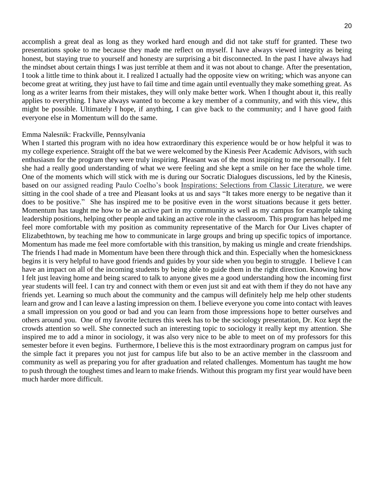accomplish a great deal as long as they worked hard enough and did not take stuff for granted. These two presentations spoke to me because they made me reflect on myself. I have always viewed integrity as being honest, but staying true to yourself and honesty are surprising a bit disconnected. In the past I have always had the mindset about certain things I was just terrible at them and it was not about to change. After the presentation, I took a little time to think about it. I realized I actually had the opposite view on writing; which was anyone can become great at writing, they just have to fail time and time again until eventually they make something great. As long as a writer learns from their mistakes, they will only make better work. When I thought about it, this really applies to everything. I have always wanted to become a key member of a community, and with this view, this might be possible. Ultimately I hope, if anything, I can give back to the community; and I have good faith everyone else in Momentum will do the same.

#### Emma Nalesnik: Frackville, Pennsylvania

When I started this program with no idea how extraordinary this experience would be or how helpful it was to my college experience. Straight off the bat we were welcomed by the Kinesis Peer Academic Advisors, with such enthusiasm for the program they were truly inspiring. Pleasant was of the most inspiring to me personally. I felt she had a really good understanding of what we were feeling and she kept a smile on her face the whole time. One of the moments which will stick with me is during our Socratic Dialogues discussions, led by the Kinesis, based on our assigned reading Paulo Coelho's book Inspirations: Selections from Classic Literature, we were sitting in the cool shade of a tree and Pleasant looks at us and says "It takes more energy to be negative than it does to be positive." She has inspired me to be positive even in the worst situations because it gets better. Momentum has taught me how to be an active part in my community as well as my campus for example taking leadership positions, helping other people and taking an active role in the classroom. This program has helped me feel more comfortable with my position as community representative of the March for Our Lives chapter of Elizabethtown, by teaching me how to communicate in large groups and bring up specific topics of importance. Momentum has made me feel more comfortable with this transition, by making us mingle and create friendships. The friends I had made in Momentum have been there through thick and thin. Especially when the homesickness begins it is very helpful to have good friends and guides by your side when you begin to struggle. I believe I can have an impact on all of the incoming students by being able to guide them in the right direction. Knowing how I felt just leaving home and being scared to talk to anyone gives me a good understanding how the incoming first year students will feel. I can try and connect with them or even just sit and eat with them if they do not have any friends yet. Learning so much about the community and the campus will definitely help me help other students learn and grow and I can leave a lasting impression on them. I believe everyone you come into contact with leaves a small impression on you good or bad and you can learn from those impressions hope to better ourselves and others around you. One of my favorite lectures this week has to be the sociology presentation, Dr. Koz kept the crowds attention so well. She connected such an interesting topic to sociology it really kept my attention. She inspired me to add a minor in sociology, it was also very nice to be able to meet on of my professors for this semester before it even begins. Furthermore, I believe this is the most extraordinary program on campus just for the simple fact it prepares you not just for campus life but also to be an active member in the classroom and community as well as preparing you for after graduation and related challenges. Momentum has taught me how to push through the toughest times and learn to make friends. Without this program my first year would have been much harder more difficult.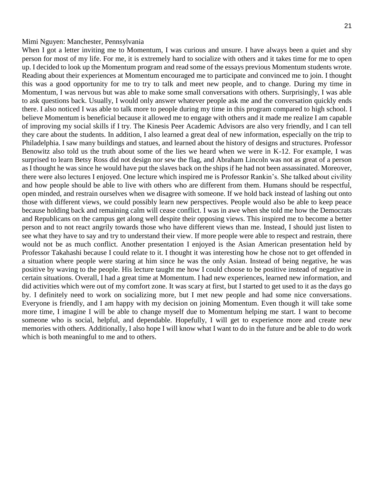#### Mimi Nguyen: Manchester, Pennsylvania

When I got a letter inviting me to Momentum, I was curious and unsure. I have always been a quiet and shy person for most of my life. For me, it is extremely hard to socialize with others and it takes time for me to open up. I decided to look up the Momentum program and read some of the essays previous Momentum students wrote. Reading about their experiences at Momentum encouraged me to participate and convinced me to join. I thought this was a good opportunity for me to try to talk and meet new people, and to change. During my time in Momentum, I was nervous but was able to make some small conversations with others. Surprisingly, I was able to ask questions back. Usually, I would only answer whatever people ask me and the conversation quickly ends there. I also noticed I was able to talk more to people during my time in this program compared to high school. I believe Momentum is beneficial because it allowed me to engage with others and it made me realize I am capable of improving my social skills if I try. The Kinesis Peer Academic Advisors are also very friendly, and I can tell they care about the students. In addition, I also learned a great deal of new information, especially on the trip to Philadelphia. I saw many buildings and statues, and learned about the history of designs and structures. Professor Benowitz also told us the truth about some of the lies we heard when we were in K-12. For example, I was surprised to learn Betsy Ross did not design nor sew the flag, and Abraham Lincoln was not as great of a person as I thought he was since he would have put the slaves back on the ships if he had not been assassinated. Moreover, there were also lectures I enjoyed. One lecture which inspired me is Professor Rankin's. She talked about civility and how people should be able to live with others who are different from them. Humans should be respectful, open minded, and restrain ourselves when we disagree with someone. If we hold back instead of lashing out onto those with different views, we could possibly learn new perspectives. People would also be able to keep peace because holding back and remaining calm will cease conflict. I was in awe when she told me how the Democrats and Republicans on the campus get along well despite their opposing views. This inspired me to become a better person and to not react angrily towards those who have different views than me. Instead, I should just listen to see what they have to say and try to understand their view. If more people were able to respect and restrain, there would not be as much conflict. Another presentation I enjoyed is the Asian American presentation held by Professor Takahashi because I could relate to it. I thought it was interesting how he chose not to get offended in a situation where people were staring at him since he was the only Asian. Instead of being negative, he was positive by waving to the people. His lecture taught me how I could choose to be positive instead of negative in certain situations. Overall, I had a great time at Momentum. I had new experiences, learned new information, and did activities which were out of my comfort zone. It was scary at first, but I started to get used to it as the days go by. I definitely need to work on socializing more, but I met new people and had some nice conversations. Everyone is friendly, and I am happy with my decision on joining Momentum. Even though it will take some more time, I imagine I will be able to change myself due to Momentum helping me start. I want to become someone who is social, helpful, and dependable. Hopefully, I will get to experience more and create new memories with others. Additionally, I also hope I will know what I want to do in the future and be able to do work which is both meaningful to me and to others.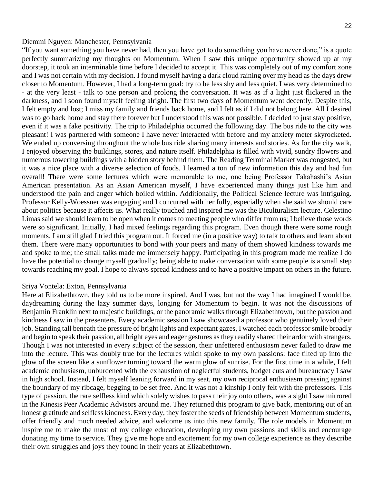#### Diemmi Nguyen: Manchester, Pennsylvania

"If you want something you have never had, then you have got to do something you have never done," is a quote perfectly summarizing my thoughts on Momentum. When I saw this unique opportunity showed up at my doorstep, it took an interminable time before I decided to accept it. This was completely out of my comfort zone and I was not certain with my decision. I found myself having a dark cloud raining over my head as the days drew closer to Momentum. However, I had a long-term goal: try to be less shy and less quiet. I was very determined to - at the very least - talk to one person and prolong the conversation. It was as if a light just flickered in the darkness, and I soon found myself feeling alright. The first two days of Momentum went decently. Despite this, I felt empty and lost; I miss my family and friends back home, and I felt as if I did not belong here. All I desired was to go back home and stay there forever but I understood this was not possible. I decided to just stay positive, even if it was a fake positivity. The trip to Philadelphia occurred the following day. The bus ride to the city was pleasant! I was partnered with someone I have never interacted with before and my anxiety meter skyrocketed. We ended up conversing throughout the whole bus ride sharing many interests and stories. As for the city walk, I enjoyed observing the buildings, stores, and nature itself. Philadelphia is filled with vivid, sundry flowers and numerous towering buildings with a hidden story behind them. The Reading Terminal Market was congested, but it was a nice place with a diverse selection of foods. I learned a ton of new information this day and had fun overall! There were some lectures which were memorable to me, one being Professor Takahashi's Asian American presentation. As an Asian American myself, I have experienced many things just like him and understood the pain and anger which boiled within. Additionally, the Political Science lecture was intriguing. Professor Kelly-Woessner was engaging and I concurred with her fully, especially when she said we should care about politics because it affects us. What really touched and inspired me was the Biculturalism lecture. Celestino Limas said we should learn to be open when it comes to meeting people who differ from us; I believe those words were so significant. Initially, I had mixed feelings regarding this program. Even though there were some rough moments, I am still glad I tried this program out. It forced me (in a positive way) to talk to others and learn about them. There were many opportunities to bond with your peers and many of them showed kindness towards me and spoke to me; the small talks made me immensely happy. Participating in this program made me realize I do have the potential to change myself gradually; being able to make conversation with some people is a small step towards reaching my goal. I hope to always spread kindness and to have a positive impact on others in the future.

#### Sriya Vontela: Exton, Pennsylvania

Here at Elizabethtown, they told us to be more inspired. And I was, but not the way I had imagined I would be, daydreaming during the lazy summer days, longing for Momentum to begin. It was not the discussions of Benjamin Franklin next to majestic buildings, or the panoramic walks through Elizabethtown, but the passion and kindness I saw in the presenters. Every academic session I saw showcased a professor who genuinely loved their job. Standing tall beneath the pressure of bright lights and expectant gazes, I watched each professor smile broadly and begin to speak their passion, all bright eyes and eager gestures as they readily shared their ardor with strangers. Though I was not interested in every subject of the session, their unfettered enthusiasm never failed to draw me into the lecture. This was doubly true for the lectures which spoke to my own passions: face tilted up into the glow of the screen like a sunflower turning toward the warm glow of sunrise. For the first time in a while, I felt academic enthusiasm, unburdened with the exhaustion of neglectful students, budget cuts and bureaucracy I saw in high school. Instead, I felt myself leaning forward in my seat, my own reciprocal enthusiasm pressing against the boundary of my ribcage, begging to be set free. And it was not a kinship I only felt with the professors. This type of passion, the rare selfless kind which solely wishes to pass their joy onto others, was a sight I saw mirrored in the Kinesis Peer Academic Advisors around me. They returned this program to give back, mentoring out of an honest gratitude and selfless kindness. Every day, they foster the seeds of friendship between Momentum students, offer friendly and much needed advice, and welcome us into this new family. The role models in Momentum inspire me to make the most of my college education, developing my own passions and skills and encourage donating my time to service. They give me hope and excitement for my own college experience as they describe their own struggles and joys they found in their years at Elizabethtown.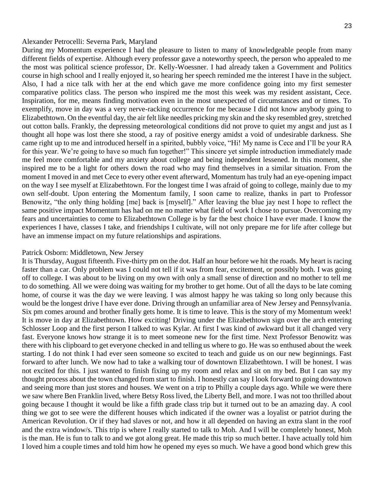#### Alexander Petrocelli: Severna Park, Maryland

During my Momentum experience I had the pleasure to listen to many of knowledgeable people from many different fields of expertise. Although every professor gave a noteworthy speech, the person who appealed to me the most was political science professor, Dr. Kelly-Woessner. I had already taken a Government and Politics course in high school and I really enjoyed it, so hearing her speech reminded me the interest I have in the subject. Also, I had a nice talk with her at the end which gave me more confidence going into my first semester comparative politics class. The person who inspired me the most this week was my resident assistant, Cece. Inspiration, for me, means finding motivation even in the most unexpected of circumstances and or times. To exemplify, move in day was a very nerve-racking occurrence for me because I did not know anybody going to Elizabethtown. On the eventful day, the air felt like needles pricking my skin and the sky resembled grey, stretched out cotton balls. Frankly, the depressing meteorological conditions did not prove to quiet my angst and just as I thought all hope was lost there she stood, a ray of positive energy amidst a void of undesirable darkness. She came right up to me and introduced herself in a spirited, bubbly voice, "Hi! My name is Cece and I'll be your RA for this year. We're going to have so much fun together!" This sincere yet simple introduction immediately made me feel more comfortable and my anxiety about college and being independent lessened. In this moment, she inspired me to be a light for others down the road who may find themselves in a similar situation. From the moment I moved in and met Cece to every other event afterward, Momentum has truly had an eye-opening impact on the way I see myself at Elizabethtown. For the longest time I was afraid of going to college, mainly due to my own self-doubt. Upon entering the Momentum family, I soon came to realize, thanks in part to Professor Benowitz, "the only thing holding [me] back is [myself]." After leaving the blue jay nest I hope to reflect the same positive impact Momentum has had on me no matter what field of work I chose to pursue. Overcoming my fears and uncertainties to come to Elizabethtown College is by far the best choice I have ever made. I know the experiences I have, classes I take, and friendships I cultivate, will not only prepare me for life after college but have an immense impact on my future relationships and aspirations.

#### Patrick Osborn: Middletown, New Jersey

It is Thursday, August fifteenth. Five-thirty pm on the dot. Half an hour before we hit the roads. My heart is racing faster than a car. Only problem was I could not tell if it was from fear, excitement, or possibly both. I was going off to college. I was about to be living on my own with only a small sense of direction and no mother to tell me to do something. All we were doing was waiting for my brother to get home. Out of all the days to be late coming home, of course it was the day we were leaving. I was almost happy he was taking so long only because this would be the longest drive I have ever done. Driving through an unfamiliar area of New Jersey and Pennsylvania. Six pm comes around and brother finally gets home. It is time to leave. This is the story of my Momentum week! It is move in day at Elizabethtown. How exciting! Driving under the Elizabethtown sign over the arch entering Schlosser Loop and the first person I talked to was Kylar. At first I was kind of awkward but it all changed very fast. Everyone knows how strange it is to meet someone new for the first time. Next Professor Benowitz was there with his clipboard to get everyone checked in and telling us where to go. He was so enthused about the week starting. I do not think I had ever seen someone so excited to teach and guide us on our new beginnings. Fast forward to after lunch. We now had to take a walking tour of downtown Elizabethtown. I will be honest. I was not excited for this. I just wanted to finish fixing up my room and relax and sit on my bed. But I can say my thought process about the town changed from start to finish. I honestly can say I look forward to going downtown and seeing more than just stores and houses. We went on a trip to Philly a couple days ago. While we were there we saw where Ben Franklin lived, where Betsy Ross lived, the Liberty Bell, and more. I was not too thrilled about going because I thought it would be like a fifth grade class trip but it turned out to be an amazing day. A cool thing we got to see were the different houses which indicated if the owner was a loyalist or patriot during the American Revolution. Or if they had slaves or not, and how it all depended on having an extra slant in the roof and the extra window/s. This trip is where I really started to talk to Moh. And I will be completely honest, Moh is the man. He is fun to talk to and we got along great. He made this trip so much better. I have actually told him I loved him a couple times and told him how he opened my eyes so much. We have a good bond which grew this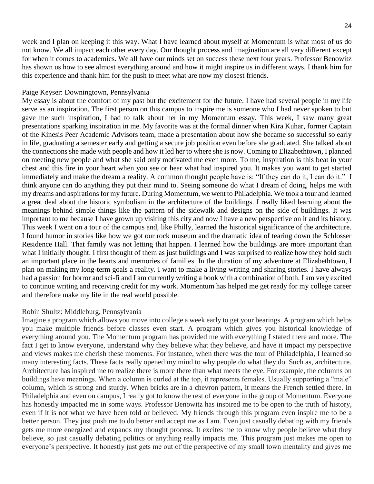week and I plan on keeping it this way. What I have learned about myself at Momentum is what most of us do not know. We all impact each other every day. Our thought process and imagination are all very different except for when it comes to academics. We all have our minds set on success these next four years. Professor Benowitz has shown us how to see almost everything around and how it might inspire us in different ways. I thank him for this experience and thank him for the push to meet what are now my closest friends.

#### Paige Keyser: Downingtown, Pennsylvania

My essay is about the comfort of my past but the excitement for the future. I have had several people in my life serve as an inspiration. The first person on this campus to inspire me is someone who I had never spoken to but gave me such inspiration, I had to talk about her in my Momentum essay. This week, I saw many great presentations sparking inspiration in me. My favorite was at the formal dinner when Kira Kuhar, former Captain of the Kinesis Peer Academic Advisors team, made a presentation about how she became so successful so early in life, graduating a semester early and getting a secure job position even before she graduated. She talked about the connections she made with people and how it led her to where she is now. Coming to Elizabethtown, I planned on meeting new people and what she said only motivated me even more. To me, inspiration is this beat in your chest and this fire in your heart when you see or hear what had inspired you. It makes you want to get started immediately and make the dream a reality. A common thought people have is: "If they can do it, I can do it." I think anyone can do anything they put their mind to. Seeing someone do what I dream of doing, helps me with my dreams and aspirations for my future. During Momentum, we went to Philadelphia. We took a tour and learned a great deal about the historic symbolism in the architecture of the buildings. I really liked learning about the meanings behind simple things like the pattern of the sidewalk and designs on the side of buildings. It was important to me because I have grown up visiting this city and now I have a new perspective on it and its history. This week I went on a tour of the campus and, like Philly, learned the historical significance of the architecture. I found humor in stories like how we got our rock museum and the dramatic idea of tearing down the Schlosser Residence Hall. That family was not letting that happen. I learned how the buildings are more important than what I initially thought. I first thought of them as just buildings and I was surprised to realize how they hold such an important place in the hearts and memories of families. In the duration of my adventure at Elizabethtown, I plan on making my long-term goals a reality. I want to make a living writing and sharing stories. I have always had a passion for horror and sci-fi and I am currently writing a book with a combination of both. I am very excited to continue writing and receiving credit for my work. Momentum has helped me get ready for my college career and therefore make my life in the real world possible.

#### Robin Shultz: Middleburg, Pennsylvania

Imagine a program which allows you move into college a week early to get your bearings. A program which helps you make multiple friends before classes even start. A program which gives you historical knowledge of everything around you. The Momentum program has provided me with everything I stated there and more. The fact I get to know everyone, understand why they believe what they believe, and have it impact my perspective and views makes me cherish these moments. For instance, when there was the tour of Philadelphia, I learned so many interesting facts. These facts really opened my mind to why people do what they do. Such as, architecture. Architecture has inspired me to realize there is more there than what meets the eye. For example, the columns on buildings have meanings. When a column is curled at the top, it represents females. Usually supporting a "male" column, which is strong and sturdy. When bricks are in a chevron pattern, it means the French settled there. In Philadelphia and even on campus, I really got to know the rest of everyone in the group of Momentum. Everyone has honestly impacted me in some ways. Professor Benowitz has inspired me to be open to the truth of history, even if it is not what we have been told or believed. My friends through this program even inspire me to be a better person. They just push me to do better and accept me as I am. Even just casually debating with my friends gets me more energized and expands my thought process. It excites me to know why people believe what they believe, so just casually debating politics or anything really impacts me. This program just makes me open to everyone's perspective. It honestly just gets me out of the perspective of my small town mentality and gives me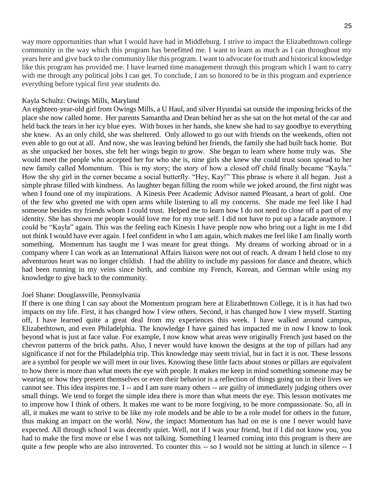way more opportunities than what I would have had in Middleburg. I strive to impact the Elizabethtown college community in the way which this program has benefitted me. I want to learn as much as I can throughout my years here and give back to the community like this program. I want to advocate for truth and historical knowledge like this program has provided me. I have learned time management through this program which I want to carry with me through any political jobs I can get. To conclude, I am so honored to be in this program and experience everything before typical first year students do.

#### Kayla Schultz: Owings Mills, Maryland

An eighteen-year-old girl from Owings Mills, a U Haul, and silver Hyundai sat outside the imposing bricks of the place she now called home. Her parents Samantha and Dean behind her as she sat on the hot metal of the car and held back the tears in her icy blue eyes. With boxes in her hands, she knew she had to say goodbye to everything she knew. As an only child, she was sheltered. Only allowed to go out with friends on the weekends, often not even able to go out at all. And now, she was leaving behind her friends, the family she had built back home. But as she unpacked her boxes, she felt her wings begin to grow. She began to learn where home truly was. She would meet the people who accepted her for who she is, nine girls she knew she could trust soon spread to her new family called Momentum. This is my story; the story of how a closed off child finally became "Kayla." How the shy girl in the corner became a social butterfly. "Hey, Kay!" This phrase is where it all began. Just a simple phrase filled with kindness. As laughter began filling the room while we joked around, the first night was when I found one of my inspirations. A Kinesis Peer Academic Advisor named Pleasant, a heart of gold. One of the few who greeted me with open arms while listening to all my concerns. She made me feel like I had someone besides my friends whom I could trust. Helped me to learn how I do not need to close off a part of my identity. She has shown me people would love me for my true self. I did not have to put up a facade anymore. I could be "Kayla" again. This was the feeling each Kinesis I have people now who bring out a light in me I did not think I would have ever again. I feel confident in who I am again, which makes me feel like I am finally worth something. Momentum has taught me I was meant for great things. My dreams of working abroad or in a company where I can work as an International Affairs liaison were not out of reach. A dream I held close to my adventurous heart was no longer childish. I had the ability to include my passions for dance and theatre, which had been running in my veins since birth, and combine my French, Korean, and German while using my knowledge to give back to the community.

#### Joel Shane: Douglassville, Pennsylvania

If there is one thing I can say about the Momentum program here at Elizabethtown College, it is it has had two impacts on my life. First, it has changed how I view others. Second, it has changed how I view myself. Starting off, I have learned quite a great deal from my experiences this week. I have walked around campus, Elizabethtown, and even Philadelphia. The knowledge I have gained has impacted me in now I know to look beyond what is just at face value. For example, I now know what areas were originally French just based on the chevron patterns of the brick paths. Also, I never would have known the designs at the top of pillars had any significance if not for the Philadelphia trip. This knowledge may seem trivial, but in fact it is not. These lessons are a symbol for people we will meet in our lives. Knowing these little facts about stones or pillars are equivalent to how there is more than what meets the eye with people. It makes me keep in mind something someone may be wearing or how they present themselves or even their behavior is a reflection of things going on in their lives we cannot see. This idea inspires me. I -- and I am sure many others -- are guilty of immediately judging others over small things. We tend to forget the simple idea there is more than what meets the eye. This lesson motivates me to improve how I think of others. It makes me want to be more forgiving, to be more compassionate. So, all in all, it makes me want to strive to be like my role models and be able to be a role model for others in the future, thus making an impact on the world. Now, the impact Momentum has had on me is one I never would have expected. All through school I was decently quiet. Well, not if I was your friend, but if I did not know you, you had to make the first move or else I was not talking. Something I learned coming into this program is there are quite a few people who are also introverted. To counter this -- so I would not be sitting at lunch in silence -- I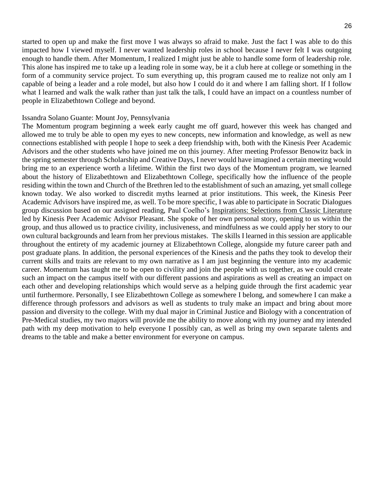started to open up and make the first move I was always so afraid to make. Just the fact I was able to do this impacted how I viewed myself. I never wanted leadership roles in school because I never felt I was outgoing enough to handle them. After Momentum, I realized I might just be able to handle some form of leadership role. This alone has inspired me to take up a leading role in some way, be it a club here at college or something in the form of a community service project. To sum everything up, this program caused me to realize not only am I capable of being a leader and a role model, but also how I could do it and where I am falling short. If I follow what I learned and walk the walk rather than just talk the talk, I could have an impact on a countless number of people in Elizabethtown College and beyond.

#### Issandra Solano Guante: Mount Joy, Pennsylvania

The Momentum program beginning a week early caught me off guard, however this week has changed and allowed me to truly be able to open my eyes to new concepts, new information and knowledge, as well as new connections established with people I hope to seek a deep friendship with, both with the Kinesis Peer Academic Advisors and the other students who have joined me on this journey. After meeting Professor Benowitz back in the spring semester through Scholarship and Creative Days, I never would have imagined a certain meeting would bring me to an experience worth a lifetime. Within the first two days of the Momentum program, we learned about the history of Elizabethtown and Elizabethtown College, specifically how the influence of the people residing within the town and Church of the Brethren led to the establishment of such an amazing, yet small college known today. We also worked to discredit myths learned at prior institutions. This week, the Kinesis Peer Academic Advisors have inspired me, as well. To be more specific, I was able to participate in Socratic Dialogues group discussion based on our assigned reading, Paul Coelho's Inspirations: Selections from Classic Literature led by Kinesis Peer Academic Advisor Pleasant. She spoke of her own personal story, opening to us within the group, and thus allowed us to practice civility, inclusiveness, and mindfulness as we could apply her story to our own cultural backgrounds and learn from her previous mistakes. The skills I learned in this session are applicable throughout the entirety of my academic journey at Elizabethtown College, alongside my future career path and post graduate plans. In addition, the personal experiences of the Kinesis and the paths they took to develop their current skills and traits are relevant to my own narrative as I am just beginning the venture into my academic career. Momentum has taught me to be open to civility and join the people with us together, as we could create such an impact on the campus itself with our different passions and aspirations as well as creating an impact on each other and developing relationships which would serve as a helping guide through the first academic year until furthermore. Personally, I see Elizabethtown College as somewhere I belong, and somewhere I can make a difference through professors and advisors as well as students to truly make an impact and bring about more passion and diversity to the college. With my dual major in Criminal Justice and Biology with a concentration of Pre-Medical studies, my two majors will provide me the ability to move along with my journey and my intended path with my deep motivation to help everyone I possibly can, as well as bring my own separate talents and dreams to the table and make a better environment for everyone on campus.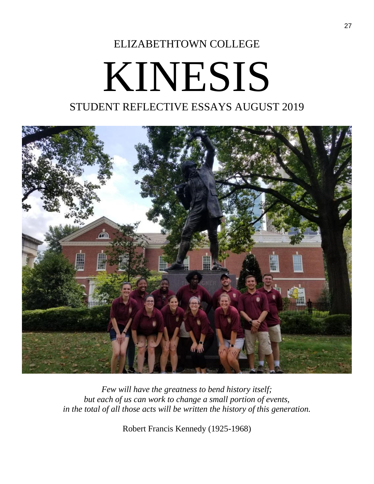# ELIZABETHTOWN COLLEGE KINESIS

### STUDENT REFLECTIVE ESSAYS AUGUST 2019



*Few will have the greatness to bend history itself; but each of us can work to change a small portion of events, in the total of all those acts will be written the history of this generation.*

Robert Francis Kennedy (1925-1968)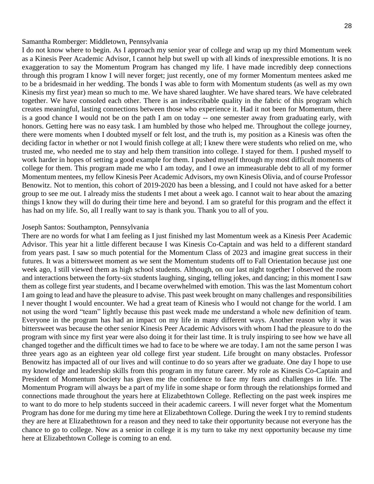#### Samantha Romberger: Middletown, Pennsylvania

I do not know where to begin. As I approach my senior year of college and wrap up my third Momentum week as a Kinesis Peer Academic Advisor, I cannot help but swell up with all kinds of inexpressible emotions. It is no exaggeration to say the Momentum Program has changed my life. I have made incredibly deep connections through this program I know I will never forget; just recently, one of my former Momentum mentees asked me to be a bridesmaid in her wedding. The bonds I was able to form with Momentum students (as well as my own Kinesis my first year) mean so much to me. We have shared laughter. We have shared tears. We have celebrated together. We have consoled each other. There is an indescribable quality in the fabric of this program which creates meaningful, lasting connections between those who experience it. Had it not been for Momentum, there is a good chance I would not be on the path I am on today -- one semester away from graduating early, with honors. Getting here was no easy task. I am humbled by those who helped me. Throughout the college journey, there were moments when I doubted myself or felt lost, and the truth is, my position as a Kinesis was often the deciding factor in whether or not I would finish college at all; I knew there were students who relied on me, who trusted me, who needed me to stay and help them transition into college. I stayed for them. I pushed myself to work harder in hopes of setting a good example for them. I pushed myself through my most difficult moments of college for them. This program made me who I am today, and I owe an immeasurable debt to all of my former Momentum mentees, my fellow Kinesis Peer Academic Advisors, my own Kinesis Olivia, and of course Professor Benowitz. Not to mention, this cohort of 2019-2020 has been a blessing, and I could not have asked for a better group to see me out. I already miss the students I met about a week ago. I cannot wait to hear about the amazing things I know they will do during their time here and beyond. I am so grateful for this program and the effect it has had on my life. So, all I really want to say is thank you. Thank you to all of you.

#### Joseph Santos: Southampton, Pennsylvania

There are no words for what I am feeling as I just finished my last Momentum week as a Kinesis Peer Academic Advisor. This year hit a little different because I was Kinesis Co-Captain and was held to a different standard from years past. I saw so much potential for the Momentum Class of 2023 and imagine great success in their futures. It was a bittersweet moment as we sent the Momentum students off to Fall Orientation because just one week ago, I still viewed them as high school students. Although, on our last night together I observed the room and interactions between the forty-six students laughing, singing, telling jokes, and dancing; in this moment I saw them as college first year students, and I became overwhelmed with emotion. This was the last Momentum cohort I am going to lead and have the pleasure to advise. This past week brought on many challenges and responsibilities I never thought I would encounter. We had a great team of Kinesis who I would not change for the world. I am not using the word "team" lightly because this past week made me understand a whole new definition of team. Everyone in the program has had an impact on my life in many different ways. Another reason why it was bittersweet was because the other senior Kinesis Peer Academic Advisors with whom I had the pleasure to do the program with since my first year were also doing it for their last time. It is truly inspiring to see how we have all changed together and the difficult times we had to face to be where we are today. I am not the same person I was three years ago as an eighteen year old college first year student. Life brought on many obstacles. Professor Benowitz has impacted all of our lives and will continue to do so years after we graduate. One day I hope to use my knowledge and leadership skills from this program in my future career. My role as Kinesis Co-Captain and President of Momentum Society has given me the confidence to face my fears and challenges in life. The Momentum Program will always be a part of my life in some shape or form through the relationships formed and connections made throughout the years here at Elizabethtown College. Reflecting on the past week inspires me to want to do more to help students succeed in their academic careers. I will never forget what the Momentum Program has done for me during my time here at Elizabethtown College. During the week I try to remind students they are here at Elizabethtown for a reason and they need to take their opportunity because not everyone has the chance to go to college. Now as a senior in college it is my turn to take my next opportunity because my time here at Elizabethtown College is coming to an end.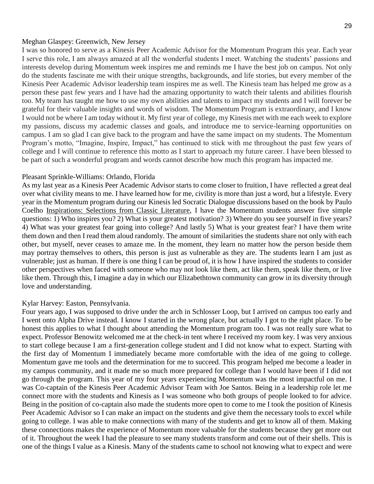#### Meghan Glaspey: Greenwich, New Jersey

I was so honored to serve as a Kinesis Peer Academic Advisor for the Momentum Program this year. Each year I serve this role, I am always amazed at all the wonderful students I meet. Watching the students' passions and interests develop during Momentum week inspires me and reminds me I have the best job on campus. Not only do the students fascinate me with their unique strengths, backgrounds, and life stories, but every member of the Kinesis Peer Academic Advisor leadership team inspires me as well. The Kinesis team has helped me grow as a person these past few years and I have had the amazing opportunity to watch their talents and abilities flourish too. My team has taught me how to use my own abilities and talents to impact my students and I will forever be grateful for their valuable insights and words of wisdom. The Momentum Program is extraordinary, and I know I would not be where I am today without it. My first year of college, my Kinesis met with me each week to explore my passions, discuss my academic classes and goals, and introduce me to service-learning opportunities on campus. I am so glad I can give back to the program and have the same impact on my students. The Momentum Program's motto, "Imagine, Inspire, Impact," has continued to stick with me throughout the past few years of college and I will continue to reference this motto as I start to approach my future career. I have been blessed to be part of such a wonderful program and words cannot describe how much this program has impacted me.

#### Pleasant Sprinkle-Williams: Orlando, Florida

As my last year as a Kinesis Peer Academic Advisor starts to come closer to fruition, I have reflected a great deal over what civility means to me. I have learned how for me, civility is more than just a word, but a lifestyle. Every year in the Momentum program during our Kinesis led Socratic Dialogue discussions based on the book by Paulo Coelho Inspirations: Selections from Classic Literature, I have the Momentum students answer five simple questions: 1) Who inspires you? 2) What is your greatest motivation? 3) Where do you see yourself in five years? 4) What was your greatest fear going into college? And lastly 5) What is your greatest fear? I have them write them down and then I read them aloud randomly. The amount of similarities the students share not only with each other, but myself, never ceases to amaze me. In the moment, they learn no matter how the person beside them may portray themselves to others, this person is just as vulnerable as they are. The students learn I am just as vulnerable; just as human. If there is one thing I can be proud of, it is how I have inspired the students to consider other perspectives when faced with someone who may not look like them, act like them, speak like them, or live like them. Through this, I imagine a day in which our Elizabethtown community can grow in its diversity through love and understanding.

#### Kylar Harvey: Easton, Pennsylvania.

Four years ago, I was supposed to drive under the arch in Schlosser Loop, but I arrived on campus too early and I went onto Alpha Drive instead. I know I started in the wrong place, but actually I got to the right place. To be honest this applies to what I thought about attending the Momentum program too. I was not really sure what to expect. Professor Benowitz welcomed me at the check-in tent where I received my room key. I was very anxious to start college because I am a first-generation college student and I did not know what to expect. Starting with the first day of Momentum I immediately became more comfortable with the idea of me going to college. Momentum gave me tools and the determination for me to succeed. This program helped me become a leader in my campus community, and it made me so much more prepared for college than I would have been if I did not go through the program. This year of my four years experiencing Momentum was the most impactful on me. I was Co-captain of the Kinesis Peer Academic Advisor Team with Joe Santos. Being in a leadership role let me connect more with the students and Kinesis as I was someone who both groups of people looked to for advice. Being in the position of co-captain also made the students more open to come to me I took the position of Kinesis Peer Academic Advisor so I can make an impact on the students and give them the necessary tools to excel while going to college. I was able to make connections with many of the students and get to know all of them. Making these connections makes the experience of Momentum more valuable for the students because they get more out of it. Throughout the week I had the pleasure to see many students transform and come out of their shells. This is one of the things I value as a Kinesis. Many of the students came to school not knowing what to expect and were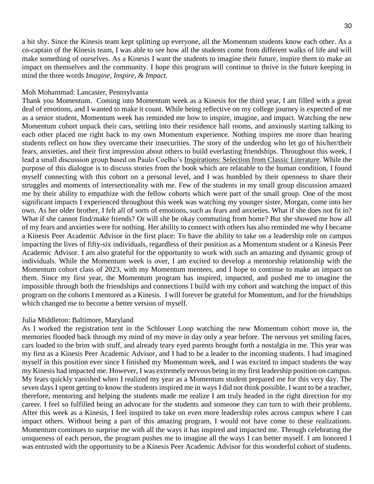a bit shy. Since the Kinesis team kept splitting up everyone, all the Momentum students know each other. As a co-captain of the Kinesis team, I was able to see how all the students come from different walks of life and will make something of ourselves. As a Kinesis I want the students to imagine their future, inspire them to make an impact on themselves and the community. I hope this program will continue to thrive in the future keeping in mind the three words *Imagine, Inspire, & Impact.*

#### Moh Mohammad: Lancaster, Pennsylvania

Thank you Momentum. Coming into Momentum week as a Kinesis for the third year, I am filled with a great deal of emotions, and I wanted to make it count. While being reflective on my college journey is expected of me as a senior student, Momentum week has reminded me how to inspire, imagine, and impact. Watching the new Momentum cohort unpack their cars, settling into their residence hall rooms, and anxiously starting talking to each other placed me right back to my own Momentum experience. Nothing inspires me more than hearing students reflect on how they overcame their insecurities. The story of the underdog who let go of his/her/their fears, anxieties, and their first impression about others to build everlasting friendships. Throughout this week, I lead a small discussion group based on Paulo Coelho's Inspirations: Selection from Classic Literature*.* While the purpose of this dialogue is to discuss stories from the book which are relatable to the human condition, I found myself connecting with this cohort on a personal level, and I was humbled by their openness to share their struggles and moments of intersectionality with me. Few of the students in my small group discussion amazed me by their ability to empathize with the fellow cohorts which were part of the small group. One of the most significant impacts I experienced throughout this week was watching my younger sister, Morgan, come into her own. As her older brother, I felt all of sorts of emotions, such as fears and anxieties. What if she does not fit in? What if she cannot find/make friends? Or will she be okay commuting from home? But she showed me how all of my fears and anxieties were for nothing. Her ability to connect with others has also reminded me why I became a Kinesis Peer Academic Advisor in the first place: To have the ability to take on a leadership role on campus impacting the lives of fifty-six individuals, regardless of their position as a Momentum student or a Kinesis Peer Academic Advisor. I am also grateful for the opportunity to work with such an amazing and dynamic group of individuals. While the Momentum week is over, I am excited to develop a mentorship relationship with the Momentum cohort class of 2023, with my Momentum mentees, and I hope to continue to make an impact on them. Since my first year, the Momentum program has inspired, impacted, and pushed me to imagine the impossible through both the friendships and connections I build with my cohort and watching the impact of this program on the cohorts I mentored as a Kinesis. I will forever be grateful for Momentum, and for the friendships which changed me to become a better version of myself.

#### Julia Middleton: Baltimore, Maryland

As I worked the registration tent in the Schlosser Loop watching the new Momentum cohort move in, the memories flooded back through my mind of my move in day only a year before. The nervous yet smiling faces, cars loaded to the brim with stuff, and already teary eyed parents brought forth a nostalgia in me. This year was my first as a Kinesis Peer Academic Advisor, and I had to be a leader to the incoming students. I had imagined myself in this position ever since I finished my Momentum week, and I was excited to impact students the way my Kinesis had impacted me. However, I was extremely nervous being in my first leadership position on campus. My fears quickly vanished when I realized my year as a Momentum student prepared me for this very day. The seven days I spent getting to know the students inspired me in ways I did not think possible. I want to be a teacher, therefore, mentoring and helping the students made me realize I am truly headed in the right direction for my career. I feel so fulfilled being an advocate for the students and someone they can turn to with their problems. After this week as a Kinesis, I feel inspired to take on even more leadership roles across campus where I can impact others. Without being a part of this amazing program, I would not have come to these realizations. Momentum continues to surprise me with all the ways it has inspired and impacted me. Through celebrating the uniqueness of each person, the program pushes me to imagine all the ways I can better myself. I am honored I was entrusted with the opportunity to be a Kinesis Peer Academic Advisor for this wonderful cohort of students.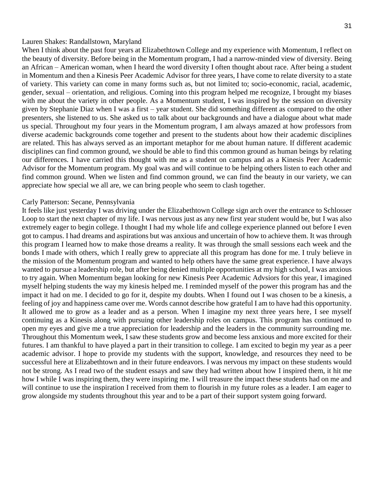#### Lauren Shakes: Randallstown, Maryland

When I think about the past four years at Elizabethtown College and my experience with Momentum, I reflect on the beauty of diversity. Before being in the Momentum program, I had a narrow-minded view of diversity. Being an African – American woman, when I heard the word diversity I often thought about race. After being a student in Momentum and then a Kinesis Peer Academic Advisor for three years, I have come to relate diversity to a state of variety. This variety can come in many forms such as, but not limited to; socio-economic, racial, academic, gender, sexual – orientation, and religious. Coming into this program helped me recognize, I brought my biases with me about the variety in other people. As a Momentum student, I was inspired by the session on diversity given by Stephanie Diaz when I was a first – year student. She did something different as compared to the other presenters, she listened to us. She asked us to talk about our backgrounds and have a dialogue about what made us special. Throughout my four years in the Momentum program, I am always amazed at how professors from diverse academic backgrounds come together and present to the students about how their academic disciplines are related. This has always served as an important metaphor for me about human nature. If different academic disciplines can find common ground, we should be able to find this common ground as human beings by relating our differences. I have carried this thought with me as a student on campus and as a Kinesis Peer Academic Advisor for the Momentum program. My goal was and will continue to be helping others listen to each other and find common ground. When we listen and find common ground, we can find the beauty in our variety, we can appreciate how special we all are, we can bring people who seem to clash together.

#### Carly Patterson: Secane, Pennsylvania

It feels like just yesterday I was driving under the Elizabethtown College sign arch over the entrance to Schlosser Loop to start the next chapter of my life. I was nervous just as any new first year student would be, but I was also extremely eager to begin college. I thought I had my whole life and college experience planned out before I even got to campus. I had dreams and aspirations but was anxious and uncertain of how to achieve them. It was through this program I learned how to make those dreams a reality. It was through the small sessions each week and the bonds I made with others, which I really grew to appreciate all this program has done for me. I truly believe in the mission of the Momentum program and wanted to help others have the same great experience. I have always wanted to pursue a leadership role, but after being denied multiple opportunities at my high school, I was anxious to try again. When Momentum began looking for new Kinesis Peer Academic Advsiors for this year, I imagined myself helping students the way my kinesis helped me. I reminded myself of the power this program has and the impact it had on me. I decided to go for it, despite my doubts. When I found out I was chosen to be a kinesis, a feeling of joy and happiness came over me. Words cannot describe how grateful I am to have had this opportunity. It allowed me to grow as a leader and as a person. When I imagine my next three years here, I see myself continuing as a Kinesis along with pursuing other leadership roles on campus. This program has continued to open my eyes and give me a true appreciation for leadership and the leaders in the community surrounding me. Throughout this Momentum week, I saw these students grow and become less anxious and more excited for their futures. I am thankful to have played a part in their transition to college. I am excited to begin my year as a peer academic advisor. I hope to provide my students with the support, knowledge, and resources they need to be successful here at Elizabethtown and in their future endeavors. I was nervous my impact on these students would not be strong. As I read two of the student essays and saw they had written about how I inspired them, it hit me how I while I was inspiring them, they were inspiring me. I will treasure the impact these students had on me and will continue to use the inspiration I received from them to flourish in my future roles as a leader. I am eager to grow alongside my students throughout this year and to be a part of their support system going forward.